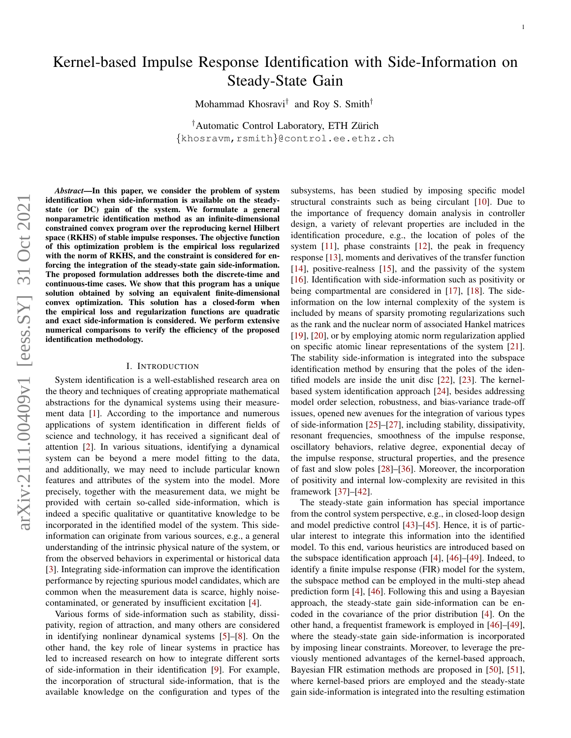# Kernel-based Impulse Response Identification with Side-Information on Steady-State Gain

Mohammad Khosravi† and Roy S. Smith†

<sup>†</sup>Automatic Control Laboratory, ETH Zürich {khosravm,rsmith}@control.ee.ethz.ch

*Abstract*—In this paper, we consider the problem of system identification when side-information is available on the steadystate (or DC) gain of the system. We formulate a general nonparametric identification method as an infinite-dimensional constrained convex program over the reproducing kernel Hilbert space (RKHS) of stable impulse responses. The objective function of this optimization problem is the empirical loss regularized with the norm of RKHS, and the constraint is considered for enforcing the integration of the steady-state gain side-information. The proposed formulation addresses both the discrete-time and continuous-time cases. We show that this program has a unique solution obtained by solving an equivalent finite-dimensional convex optimization. This solution has a closed-form when the empirical loss and regularization functions are quadratic and exact side-information is considered. We perform extensive numerical comparisons to verify the efficiency of the proposed identification methodology.

#### I. INTRODUCTION

System identification is a well-established research area on the theory and techniques of creating appropriate mathematical abstractions for the dynamical systems using their measurement data [\[1\]](#page-14-0). According to the importance and numerous applications of system identification in different fields of science and technology, it has received a significant deal of attention [\[2\]](#page-14-1). In various situations, identifying a dynamical system can be beyond a mere model fitting to the data, and additionally, we may need to include particular known features and attributes of the system into the model. More precisely, together with the measurement data, we might be provided with certain so-called side-information, which is indeed a specific qualitative or quantitative knowledge to be incorporated in the identified model of the system. This sideinformation can originate from various sources, e.g., a general understanding of the intrinsic physical nature of the system, or from the observed behaviors in experimental or historical data [\[3\]](#page-14-2). Integrating side-information can improve the identification performance by rejecting spurious model candidates, which are common when the measurement data is scarce, highly noisecontaminated, or generated by insufficient excitation [\[4\]](#page-14-3).

Various forms of side-information such as stability, dissipativity, region of attraction, and many others are considered in identifying nonlinear dynamical systems [\[5\]](#page-14-4)–[\[8\]](#page-14-5). On the other hand, the key role of linear systems in practice has led to increased research on how to integrate different sorts of side-information in their identification [\[9\]](#page-14-6). For example, the incorporation of structural side-information, that is the available knowledge on the configuration and types of the

subsystems, has been studied by imposing specific model structural constraints such as being circulant [\[10\]](#page-14-7). Due to the importance of frequency domain analysis in controller design, a variety of relevant properties are included in the identification procedure, e.g., the location of poles of the system [\[11\]](#page-14-8), phase constraints [\[12\]](#page-14-9), the peak in frequency response [\[13\]](#page-14-10), moments and derivatives of the transfer function [\[14\]](#page-14-11), positive-realness [\[15\]](#page-14-12), and the passivity of the system [\[16\]](#page-15-0). Identification with side-information such as positivity or being compartmental are considered in [\[17\]](#page-15-1), [\[18\]](#page-15-2). The sideinformation on the low internal complexity of the system is included by means of sparsity promoting regularizations such as the rank and the nuclear norm of associated Hankel matrices [\[19\]](#page-15-3), [\[20\]](#page-15-4), or by employing atomic norm regularization applied on specific atomic linear representations of the system [\[21\]](#page-15-5). The stability side-information is integrated into the subspace identification method by ensuring that the poles of the identified models are inside the unit disc [\[22\]](#page-15-6), [\[23\]](#page-15-7). The kernelbased system identification approach [\[24\]](#page-15-8), besides addressing model order selection, robustness, and bias-variance trade-off issues, opened new avenues for the integration of various types of side-information [\[25\]](#page-15-9)–[\[27\]](#page-15-10), including stability, dissipativity, resonant frequencies, smoothness of the impulse response, oscillatory behaviors, relative degree, exponential decay of the impulse response, structural properties, and the presence of fast and slow poles [\[28\]](#page-15-11)–[\[36\]](#page-15-12). Moreover, the incorporation of positivity and internal low-complexity are revisited in this framework [\[37\]](#page-15-13)–[\[42\]](#page-15-14).

The steady-state gain information has special importance from the control system perspective, e.g., in closed-loop design and model predictive control [\[43\]](#page-15-15)–[\[45\]](#page-15-16). Hence, it is of particular interest to integrate this information into the identified model. To this end, various heuristics are introduced based on the subspace identification approach [\[4\]](#page-14-3), [\[46\]](#page-15-17)–[\[49\]](#page-15-18). Indeed, to identify a finite impulse response (FIR) model for the system, the subspace method can be employed in the multi-step ahead prediction form [\[4\]](#page-14-3), [\[46\]](#page-15-17). Following this and using a Bayesian approach, the steady-state gain side-information can be encoded in the covariance of the prior distribution [\[4\]](#page-14-3). On the other hand, a frequentist framework is employed in [\[46\]](#page-15-17)–[\[49\]](#page-15-18), where the steady-state gain side-information is incorporated by imposing linear constraints. Moreover, to leverage the previously mentioned advantages of the kernel-based approach, Bayesian FIR estimation methods are proposed in [\[50\]](#page-15-19), [\[51\]](#page-15-20), where kernel-based priors are employed and the steady-state gain side-information is integrated into the resulting estimation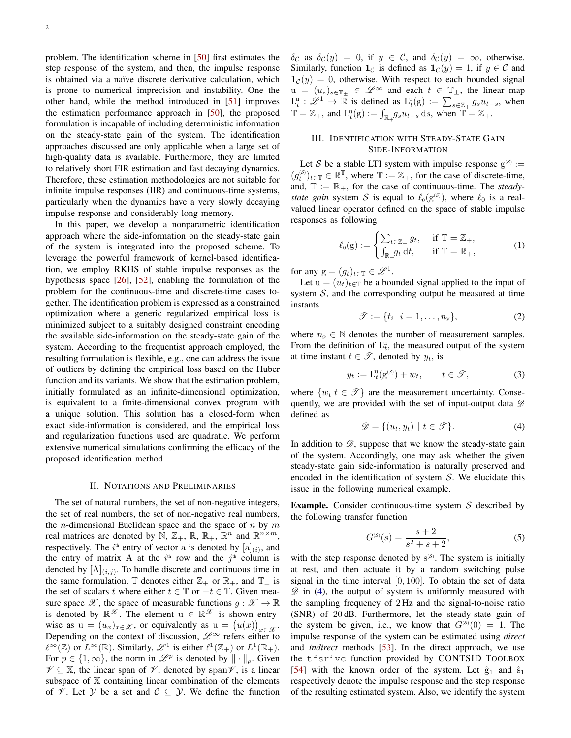problem. The identification scheme in [\[50\]](#page-15-19) first estimates the step response of the system, and then, the impulse response is obtained via a naïve discrete derivative calculation, which is prone to numerical imprecision and instability. One the other hand, while the method introduced in [\[51\]](#page-15-20) improves the estimation performance approach in [\[50\]](#page-15-19), the proposed formulation is incapable of including deterministic information on the steady-state gain of the system. The identification approaches discussed are only applicable when a large set of high-quality data is available. Furthermore, they are limited to relatively short FIR estimation and fast decaying dynamics. Therefore, these estimation methodologies are not suitable for infinite impulse responses (IIR) and continuous-time systems, particularly when the dynamics have a very slowly decaying impulse response and considerably long memory.

In this paper, we develop a nonparametric identification approach where the side-information on the steady-state gain of the system is integrated into the proposed scheme. To leverage the powerful framework of kernel-based identification, we employ RKHS of stable impulse responses as the hypothesis space [\[26\]](#page-15-21), [\[52\]](#page-15-22), enabling the formulation of the problem for the continuous-time and discrete-time cases together. The identification problem is expressed as a constrained optimization where a generic regularized empirical loss is minimized subject to a suitably designed constraint encoding the available side-information on the steady-state gain of the system. According to the frequentist approach employed, the resulting formulation is flexible, e.g., one can address the issue of outliers by defining the empirical loss based on the Huber function and its variants. We show that the estimation problem, initially formulated as an infinite-dimensional optimization, is equivalent to a finite-dimensional convex program with a unique solution. This solution has a closed-form when exact side-information is considered, and the empirical loss and regularization functions used are quadratic. We perform extensive numerical simulations confirming the efficacy of the proposed identification method.

## II. NOTATIONS AND PRELIMINARIES

The set of natural numbers, the set of non-negative integers, the set of real numbers, the set of non-negative real numbers, the *n*-dimensional Euclidean space and the space of *n* by  $m$ real matrices are denoted by  $\mathbb{N}, \mathbb{Z}_+, \mathbb{R}, \mathbb{R}_+, \mathbb{R}^n$  and  $\mathbb{R}^{n \times m}$ , respectively. The  $i^{\text{th}}$  entry of vector a is denoted by  $[a]_{(i)}$ , and the entry of matrix A at the  $i<sup>th</sup>$  row and the  $j<sup>th</sup>$  column is denoted by  $[A]_{(i,j)}$ . To handle discrete and continuous time in the same formulation,  $\mathbb T$  denotes either  $\mathbb Z_+$  or  $\mathbb R_+$ , and  $\mathbb T_\pm$  is the set of scalars t where either  $t \in \mathbb{T}$  or  $-t \in \mathbb{T}$ . Given measure space  $\mathscr{X}$ , the space of measurable functions  $g : \mathscr{X} \to \mathbb{R}$ is denoted by  $\mathbb{R}^{\mathscr{X}}$ . The element  $u \in \mathbb{R}^{\mathscr{X}}$  is shown entrywise as  $u = (u_x)_{x \in \mathcal{X}}$ , or equivalently as  $u = (u(x))_{x \in \mathcal{X}}$ . Depending on the context of discussion,  $\mathscr{L}^{\infty}$  refers either to  $\ell^{\infty}(\mathbb{Z})$  or  $L^{\infty}(\mathbb{R})$ . Similarly,  $\mathscr{L}^1$  is either  $\ell^1(\mathbb{Z}_+)$  or  $L^1(\mathbb{R}_+)$ . For  $p \in \{1, \infty\}$ , the norm in  $\mathscr{L}^p$  is denoted by  $\|\cdot\|_p$ . Given  $\mathscr{V} \subseteq \mathbb{X}$ , the linear span of  $\mathscr{V}$ , denoted by span $\mathscr{V}$ , is a linear subspace of  $X$  containing linear combination of the elements of  $\mathcal V$ . Let  $\mathcal Y$  be a set and  $\mathcal C \subseteq \mathcal Y$ . We define the function  $\delta_{\mathcal{C}}$  as  $\delta_{\mathcal{C}}(y) = 0$ , if  $y \in \mathcal{C}$ , and  $\delta_{\mathcal{C}}(y) = \infty$ , otherwise. Similarly, function  $\mathbf{1}_{\mathcal{C}}$  is defined as  $\mathbf{1}_{\mathcal{C}}(y) = 1$ , if  $y \in \mathcal{C}$  and  $1_c(y) = 0$ , otherwise. With respect to each bounded signal  $u = (u_s)_{s \in \mathbb{T}_{\pm}} \in \mathscr{L}^{\infty}$  and each  $t \in \mathbb{T}_{\pm}$ , the linear map  $L_t^u : \mathscr{L}^1 \to \mathbb{R}$  is defined as  $L_t^u(g) := \sum_{s \in \mathbb{Z}_+} g_s u_{t-s}$ , when  $\mathbb{T} = \mathbb{Z}_+$ , and  $\mathrm{L}_t^{\mathrm{u}}(\mathrm{g}) := \int_{\mathbb{R}_+} g_s u_{t-s} \, \mathrm{d}s$ , when  $\mathbb{T} = \mathbb{Z}_+$ .

## <span id="page-1-1"></span>III. IDENTIFICATION WITH STEADY-STATE GAIN SIDE-INFORMATION

Let S be a stable LTI system with impulse response  $g^{(s)}$  :=  $(g_t^{(s)})_{t \in \mathbb{T}} \in \mathbb{R}^{\mathbb{T}}$ , where  $\mathbb{T} := \mathbb{Z}_+$ , for the case of discrete-time, and,  $\mathbb{T} := \mathbb{R}_+$ , for the case of continuous-time. The *steadystate gain* system S is equal to  $\ell_0(g^{(s)})$ , where  $\ell_0$  is a realvalued linear operator defined on the space of stable impulse responses as following

$$
\ell_0(g) := \begin{cases} \sum_{t \in \mathbb{Z}_+} g_t, & \text{if } \mathbb{T} = \mathbb{Z}_+, \\ \int_{\mathbb{R}_+} g_t \, dt, & \text{if } \mathbb{T} = \mathbb{R}_+, \end{cases} \tag{1}
$$

for any  $g = (g_t)_{t \in \mathbb{T}} \in \mathcal{L}^1$ .

Let  $u = (u_t)_{t \in \mathbb{T}}$  be a bounded signal applied to the input of system  $S$ , and the corresponding output be measured at time instants

$$
\mathcal{T} := \{t_i \mid i = 1, \dots, n_{\mathcal{D}}\},\tag{2}
$$

where  $n_{\mathscr{D}} \in \mathbb{N}$  denotes the number of measurement samples. From the definition of  $L_t^u$ , the measured output of the system at time instant  $t \in \mathcal{T}$ , denoted by  $y_t$ , is

$$
y_t := \mathcal{L}_t^{\mathfrak{u}}(\mathbf{g}^{(\mathcal{S})}) + w_t, \qquad t \in \mathcal{T}, \tag{3}
$$

where  $\{w_t | t \in \mathcal{T}\}\$  are the measurement uncertainty. Consequently, we are provided with the set of input-output data  $\mathscr D$ defined as

<span id="page-1-0"></span>
$$
\mathcal{D} = \{ (u_t, y_t) \mid t \in \mathcal{F} \}. \tag{4}
$$

In addition to  $\mathscr{D}$ , suppose that we know the steady-state gain of the system. Accordingly, one may ask whether the given steady-state gain side-information is naturally preserved and encoded in the identification of system  $S$ . We elucidate this issue in the following numerical example.

**Example.** Consider continuous-time system  $S$  described by the following transfer function

$$
G^{(S)}(s) = \frac{s+2}{s^2 + s + 2},
$$
\n(5)

with the step response denoted by  $s^{(s)}$ . The system is initially at rest, and then actuate it by a random switching pulse signal in the time interval  $[0, 100]$ . To obtain the set of data  $\mathscr{D}$  in [\(4\)](#page-1-0), the output of system is uniformly measured with the sampling frequency of 2 Hz and the signal-to-noise ratio (SNR) of 20 dB. Furthermore, let the steady-state gain of the system be given, i.e., we know that  $G^{(S)}(0) = 1$ . The impulse response of the system can be estimated using *direct* and *indirect* methods [\[53\]](#page-15-23). In the direct approach, we use the tfsrivc function provided by CONTSID TOOLBOX [\[54\]](#page-15-24) with the known order of the system. Let  $\hat{g}_1$  and  $\hat{s}_1$ respectively denote the impulse response and the step response of the resulting estimated system. Also, we identify the system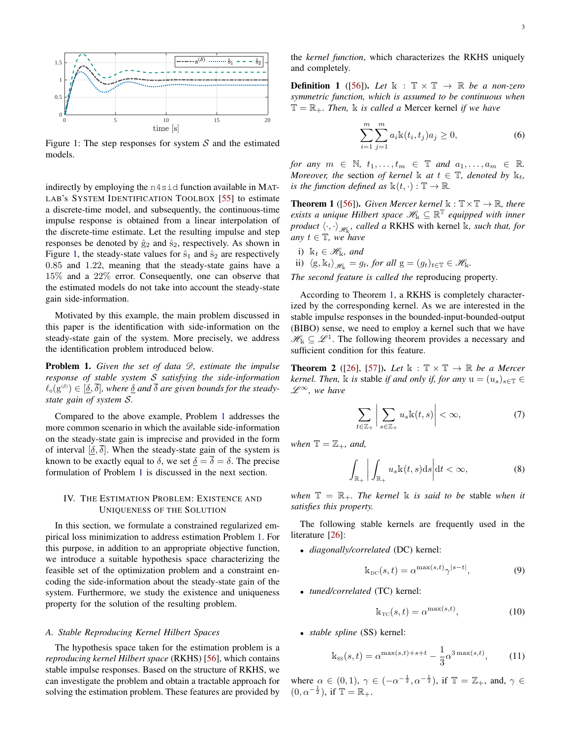3

<span id="page-2-0"></span>

Figure 1: The step responses for system  $S$  and the estimated models.

indirectly by employing the n4sid function available in MAT-LAB's SYSTEM IDENTIFICATION TOOLBOX [\[55\]](#page-15-25) to estimate a discrete-time model, and subsequently, the continuous-time impulse response is obtained from a linear interpolation of the discrete-time estimate. Let the resulting impulse and step responses be denoted by  $\hat{g}_2$  and  $\hat{s}_2$ , respectively. As shown in Figure [1,](#page-2-0) the steady-state values for  $\hat{s}_1$  and  $\hat{s}_2$  are respectively 0.85 and 1.22, meaning that the steady-state gains have a 15% and a 22% error. Consequently, one can observe that the estimated models do not take into account the steady-state gain side-information.

Motivated by this example, the main problem discussed in this paper is the identification with side-information on the steady-state gain of the system. More precisely, we address the identification problem introduced below.

<span id="page-2-1"></span>**Problem 1.** Given the set of data  $\mathcal{D}$ , estimate the impulse *response of stable system* S *satisfying the side-information*  $\ell_0(g^{(\mathcal{S})}) \in [\underline{\delta}, \delta]$ , where  $\underline{\delta}$  and  $\delta$  are given bounds for the steady*state gain of system* S*.*

Compared to the above example, Problem [1](#page-2-1) addresses the more common scenario in which the available side-information on the steady-state gain is imprecise and provided in the form of interval  $[\delta, \overline{\delta}]$ . When the steady-state gain of the system is known to be exactly equal to  $\delta$ , we set  $\delta = \overline{\delta} = \delta$ . The precise formulation of Problem [1](#page-2-1) is discussed in the next section.

## IV. THE ESTIMATION PROBLEM: EXISTENCE AND UNIQUENESS OF THE SOLUTION

In this section, we formulate a constrained regularized empirical loss minimization to address estimation Problem [1.](#page-2-1) For this purpose, in addition to an appropriate objective function, we introduce a suitable hypothesis space characterizing the feasible set of the optimization problem and a constraint encoding the side-information about the steady-state gain of the system. Furthermore, we study the existence and uniqueness property for the solution of the resulting problem.

## *A. Stable Reproducing Kernel Hilbert Spaces*

The hypothesis space taken for the estimation problem is a *reproducing kernel Hilbert space* (RKHS) [\[56\]](#page-15-26), which contains stable impulse responses. Based on the structure of RKHS, we can investigate the problem and obtain a tractable approach for solving the estimation problem. These features are provided by

the *kernel function*, which characterizes the RKHS uniquely and completely.

**Definition 1** ([\[56\]](#page-15-26)). Let  $\mathbb{k} : \mathbb{T} \times \mathbb{T} \rightarrow \mathbb{R}$  be a non-zero *symmetric function, which is assumed to be continuous when*  $\mathbb{T} = \mathbb{R}_+$ *. Then,* k *is called a* Mercer kernel *if we have* 

$$
\sum_{i=1}^{m} \sum_{j=1}^{m} a_i \mathbf{k}(t_i, t_j) a_j \ge 0,
$$
\n(6)

*for any*  $m \in \mathbb{N}$ ,  $t_1, \ldots, t_m \in \mathbb{T}$  and  $a_1, \ldots, a_m \in \mathbb{R}$ . *Moreover, the section of kernel*  $\mathbb{k}$  *at*  $t \in \mathbb{T}$ *, denoted by*  $\mathbb{k}_t$ *, is the function defined as*  $\mathbb{k}(t, \cdot) : \mathbb{T} \to \mathbb{R}$ .

<span id="page-2-2"></span>**Theorem 1** ([\[56\]](#page-15-26)). *Given Mercer kernel*  $\mathbb{k}: \mathbb{T} \times \mathbb{T} \to \mathbb{R}$ , there  $e$ xists a unique Hilbert space  $\mathscr{H}_k \subseteq \mathbb{R}^{\mathbb{T}}$  equipped with inner *product*  $\langle \cdot, \cdot \rangle_{\mathcal{H}_k}$ , called a RKHS with kernel k, such that, for *any*  $t \in \mathbb{T}$ *, we have* 

- i)  $k_t \in \mathcal{H}_k$ *, and*
- ii)  $\langle g, \mathbb{k}_t \rangle_{\mathscr{H}_k} = g_t$ , for all  $g = (g_t)_{t \in \mathbb{T}} \in \mathscr{H}_k$ .

*The second feature is called the* reproducing property*.*

According to Theorem [1,](#page-2-2) a RKHS is completely characterized by the corresponding kernel. As we are interested in the stable impulse responses in the bounded-input-bounded-output (BIBO) sense, we need to employ a kernel such that we have  $\mathscr{H}_{k} \subseteq \mathscr{L}^{1}$ . The following theorem provides a necessary and sufficient condition for this feature.

**Theorem 2** ([\[26\]](#page-15-21), [\[57\]](#page-15-27)). Let  $\mathbb{k}: \mathbb{T} \times \mathbb{T} \to \mathbb{R}$  be a Mercer *kernel. Then,* k *is* stable *if and only if, for any*  $u = (u_s)_{s \in \mathbb{T}} \in$  $\mathscr{L}^{\infty}$ , we have

$$
\sum_{t \in \mathbb{Z}_+} \left| \sum_{s \in \mathbb{Z}_+} u_s \mathbf{k}(t, s) \right| < \infty,\tag{7}
$$

*when*  $\mathbb{T} = \mathbb{Z}_+$ *, and,* 

$$
\int_{\mathbb{R}_+} \left| \int_{\mathbb{R}_+} u_s \mathbf{k}(t, s) \mathrm{d}s \right| \mathrm{d}t < \infty, \tag{8}
$$

*when*  $\mathbb{T} = \mathbb{R}_+$ *. The kernel* k *is said to be stable when it satisfies this property.*

The following stable kernels are frequently used in the literature [\[26\]](#page-15-21):

• *diagonally/correlated* (DC) kernel:

<span id="page-2-3"></span>
$$
\mathbf{k}_{\rm DC}(s,t) = \alpha^{\max(s,t)} \gamma^{|s-t|},\tag{9}
$$

• *tuned/correlated* (TC) kernel:

<span id="page-2-4"></span>
$$
\mathbf{k}_{\rm TC}(s,t) = \alpha^{\max(s,t)},\tag{10}
$$

• *stable spline* (SS) kernel:

<span id="page-2-5"></span>
$$
\mathbf{k}_{\rm{ss}}(s,t) = \alpha^{\max(s,t)+s+t} - \frac{1}{3}\alpha^{3\max(s,t)},
$$
 (11)

where  $\alpha \in (0,1)$ ,  $\gamma \in (-\alpha^{-\frac{1}{2}}, \alpha^{-\frac{1}{2}})$ , if  $\mathbb{T} = \mathbb{Z}_+$ , and,  $\gamma \in$  $(0, \alpha^{-\frac{1}{2}})$ , if  $\mathbb{T} = \mathbb{R}_+$ .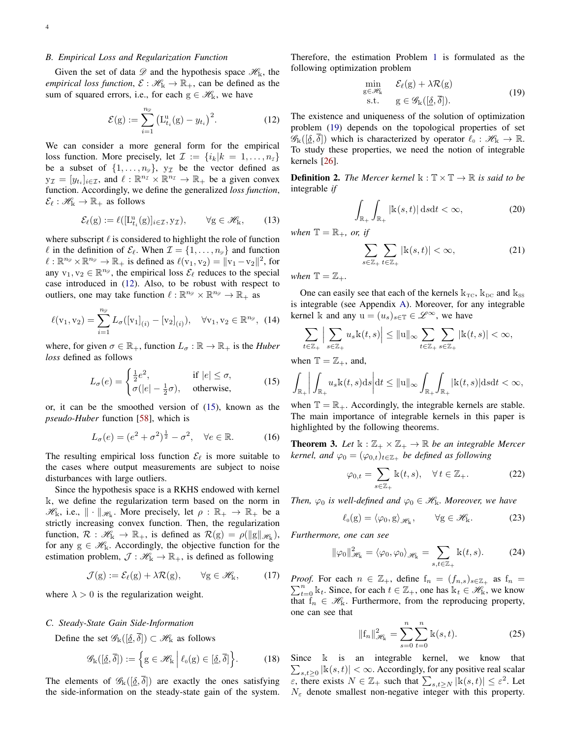#### <span id="page-3-7"></span>*B. Empirical Loss and Regularization Function*

Given the set of data  $\mathscr{D}$  and the hypothesis space  $\mathscr{H}_{k}$ , the *empirical loss function,*  $\mathcal{E} : \mathcal{H}_k \to \mathbb{R}_+$ , can be defined as the sum of squared errors, i.e., for each  $g \in \mathcal{H}_{k}$ , we have

<span id="page-3-0"></span>
$$
\mathcal{E}(g) := \sum_{i=1}^{n_g} \left( L_{t_i}^u(g) - y_{t_i} \right)^2.
$$
 (12)

We can consider a more general form for the empirical loss function. More precisely, let  $\mathcal{I} := \{i_k | k = 1, \ldots, n_{\mathcal{I}}\}\$ be a subset of  $\{1, \ldots, n_{\mathscr{D}}\}, y_{\mathcal{I}}$  be the vector defined as  $\mathbf{y}_{\mathcal{I}} = [y_{t_i}]_{i \in \mathcal{I}}$ , and  $\ell : \mathbb{R}^{n_{\mathcal{I}}} \times \mathbb{R}^{n_{\mathcal{I}}} \to \mathbb{R}_+$  be a given convex function. Accordingly, we define the generalized *loss function*,  $\mathcal{E}_{\ell} : \mathscr{H}_{\mathbb{K}} \to \mathbb{R}_+$  as follows

$$
\mathcal{E}_{\ell}(\mathbf{g}) := \ell([\mathbf{L}_{t_i}^{\mathrm{u}}(\mathbf{g})]_{i \in \mathcal{I}}, \mathbf{y}_{\mathcal{I}}), \qquad \forall \mathbf{g} \in \mathscr{H}_{\mathbf{k}}, \qquad (13)
$$

where subscript  $\ell$  is considered to highlight the role of function  $\ell$  in the definition of  $\mathcal{E}_{\ell}$ . When  $\mathcal{I} = \{1, \ldots, n_{\varnothing}\}\$  and function  $\ell : \mathbb{R}^{n_{\mathscr{D}}} \times \mathbb{R}^{n_{\mathscr{D}}} \to \mathbb{R}_+$  is defined as  $\ell(v_1, v_2) = ||v_1 - v_2||^2$ , for any  $v_1, v_2 \in \mathbb{R}^{n_{\mathscr{D}}}$ , the empirical loss  $\mathcal{E}_\ell$  reduces to the special case introduced in [\(12\)](#page-3-0). Also, to be robust with respect to outliers, one may take function  $\ell : \mathbb{R}^{n_{\mathscr{D}}} \times \mathbb{R}^{n_{\mathscr{D}}} \to \mathbb{R}_+$  as

$$
\ell(v_1, v_2) = \sum_{i=1}^{n_{\mathscr{D}}} L_{\sigma}([v_1]_{(i)} - [v_2]_{(i)}), \quad \forall v_1, v_2 \in \mathbb{R}^{n_{\mathscr{D}}}, \tag{14}
$$

where, for given  $\sigma \in \mathbb{R}_+$ , function  $L_{\sigma} : \mathbb{R} \to \mathbb{R}_+$  is the *Huber loss* defined as follows

<span id="page-3-1"></span>
$$
L_{\sigma}(e) = \begin{cases} \frac{1}{2}e^2, & \text{if } |e| \le \sigma, \\ \sigma(|e| - \frac{1}{2}\sigma), & \text{otherwise,} \end{cases}
$$
 (15)

or, it can be the smoothed version of [\(15\)](#page-3-1), known as the *pseudo-Huber* function [\[58\]](#page-15-28), which is

$$
L_{\sigma}(e) = (e^2 + \sigma^2)^{\frac{1}{2}} - \sigma^2, \quad \forall e \in \mathbb{R}.
$$
 (16)

The resulting empirical loss function  $\mathcal{E}_{\ell}$  is more suitable to the cases where output measurements are subject to noise disturbances with large outliers.

Since the hypothesis space is a RKHS endowed with kernel k, we define the regularization term based on the norm in  $\mathscr{H}_{k}$ , i.e.,  $\|\cdot\|_{\mathscr{H}_{k}}$ . More precisely, let  $\rho : \mathbb{R}_{+} \to \mathbb{R}_{+}$  be a strictly increasing convex function. Then, the regularization function,  $\mathcal{R}: \mathscr{H}_k \to \mathbb{R}_+$ , is defined as  $\mathcal{R}(g) = \rho(\|g\|_{\mathscr{H}_k})$ , for any  $g \in \mathcal{H}_{k}$ . Accordingly, the objective function for the estimation problem,  $\mathcal{J} : \mathcal{H}_k \to \mathbb{R}_+$ , is defined as following

$$
\mathcal{J}(g) := \mathcal{E}_{\ell}(g) + \lambda \mathcal{R}(g), \qquad \forall g \in \mathscr{H}_{k}, \tag{17}
$$

where  $\lambda > 0$  is the regularization weight.

## *C. Steady-State Gain Side-Information*

Define the set  $\mathscr{G}_{k}([\underline{\delta}, \overline{\delta}]) \subset \mathscr{H}_{k}$  as follows

$$
\mathscr{G}_{\mathbb{k}}([\underline{\delta}, \overline{\delta}]) := \left\{ g \in \mathscr{H}_{\mathbb{k}} \middle| \ell_0(g) \in [\underline{\delta}, \overline{\delta}] \right\}.
$$
 (18)

The elements of  $\mathscr{G}_{k}([\underline{\delta}, \overline{\delta}])$  are exactly the ones satisfying the side-information on the steady-state gain of the system. Therefore, the estimation Problem [1](#page-2-1) is formulated as the following optimization problem

<span id="page-3-2"></span>
$$
\min_{g \in \mathcal{H}_k} \quad \mathcal{E}_{\ell}(g) + \lambda \mathcal{R}(g) \n\text{s.t.} \quad g \in \mathcal{G}_k([\underline{\delta}, \overline{\delta}]).
$$
\n(19)

The existence and uniqueness of the solution of optimization problem [\(19\)](#page-3-2) depends on the topological properties of set  $\mathscr{G}_{\mathbb{k}}([\underline{\delta}, \overline{\delta}])$  which is characterized by operator  $\ell_0 : \mathscr{H}_{\mathbb{k}} \to \mathbb{R}$ . To study these properties, we need the notion of integrable kernels [\[26\]](#page-15-21).

**Definition 2.** *The Mercer kernel*  $\mathbb{k} : \mathbb{T} \times \mathbb{T} \to \mathbb{R}$  *is said to be* integrable *if*

$$
\int_{\mathbb{R}_+} \int_{\mathbb{R}_+} |\mathbf{k}(s,t)| \, \mathrm{d}s \mathrm{d}t < \infty,\tag{20}
$$

*when*  $\mathbb{T} = \mathbb{R}_+$ *, or, if* 

$$
\sum_{s \in \mathbb{Z}_+} \sum_{t \in \mathbb{Z}_+} |\mathbb{k}(s, t)| < \infty,\tag{21}
$$

*when*  $\mathbb{T} = \mathbb{Z}_+$ *.* 

One can easily see that each of the kernels  $k_{TC}$ ,  $k_{DC}$  and  $k_{SS}$ is integrable (see Appendix [A\)](#page-10-0). Moreover, for any integrable kernel k and any  $u = (u_s)_{s \in \mathbb{T}} \in \mathcal{L}^{\infty}$ , we have

$$
\sum_{t\in\mathbb{Z}_+}\Big|\sum_{s\in\mathbb{Z}_+}u_s\mathbb{k}(t,s)\Big|\leq \|\mathbf{u}\|_\infty \sum_{t\in\mathbb{Z}_+}\sum_{s\in\mathbb{Z}_+}|\mathbb{k}(t,s)|<\infty,
$$

when  $\mathbb{T} = \mathbb{Z}_+$ , and,

$$
\int_{\mathbb{R}_+} \bigg| \int_{\mathbb{R}_+} u_s \mathbf{k}(t,s) \mathrm{d}s \bigg| \mathrm{d}t \leq ||\mathbf{u}||_{\infty} \int_{\mathbb{R}_+} \int_{\mathbb{R}_+} |\mathbf{k}(t,s)| \mathrm{d}s \mathrm{d}t < \infty,
$$

when  $\mathbb{T} = \mathbb{R}_+$ . Accordingly, the integrable kernels are stable. The main importance of integrable kernels in this paper is highlighted by the following theorems.

<span id="page-3-6"></span>**Theorem 3.** Let  $\mathbb{k} : \mathbb{Z}_+ \times \mathbb{Z}_+ \to \mathbb{R}$  be an integrable Mercer *kernel, and*  $\varphi_0 = (\varphi_{0,t})_{t \in \mathbb{Z}_+}$  *be defined as following* 

<span id="page-3-3"></span>
$$
\varphi_{0,t} = \sum_{s \in \mathbb{Z}_+} \mathbb{k}(t,s), \quad \forall \, t \in \mathbb{Z}_+.
$$
 (22)

*Then,*  $\varphi_0$  *is well-defined and*  $\varphi_0 \in \mathcal{H}_k$ *. Moreover, we have* 

<span id="page-3-5"></span>
$$
\ell_0(g) = \langle \varphi_0, g \rangle_{\mathscr{H}_k}, \qquad \forall g \in \mathscr{H}_k. \tag{23}
$$

*Furthermore, one can see*

<span id="page-3-4"></span>
$$
\|\varphi_0\|_{\mathcal{H}_{\mathbf{k}}}^2 = \langle \varphi_0, \varphi_0 \rangle_{\mathcal{H}_{\mathbf{k}}} = \sum_{s, t \in \mathbb{Z}_+} \mathbf{k}(t, s). \tag{24}
$$

 $\sum_{t=0}^{n}$  k<sub>t</sub>. Since, for each  $t \in \mathbb{Z}_+$ , one has  $k_t \in \mathcal{H}_k$ , we know *Proof.* For each  $n \in \mathbb{Z}_+$ , define  $f_n = (f_{n,s})_{s \in \mathbb{Z}_+}$  as  $f_n =$ that  $f_n \in \mathcal{H}_k$ . Furthermore, from the reproducing property, one can see that

$$
||f_n||_{\mathcal{H}_k}^2 = \sum_{s=0}^n \sum_{t=0}^n k(s, t).
$$
 (25)

Since  $k$  is an integrable kernel, we know that  $\sum_{s,t\geq 0} |k(s,t)| < \infty$ . Accordingly, for any positive real scalar  $\epsilon$ , there exists  $N \in \mathbb{Z}_+$  such that  $\sum_{s,t\geq N} |k(s,t)| \leq \epsilon^2$ . Let  $N_{\varepsilon}$  denote smallest non-negative integer with this property.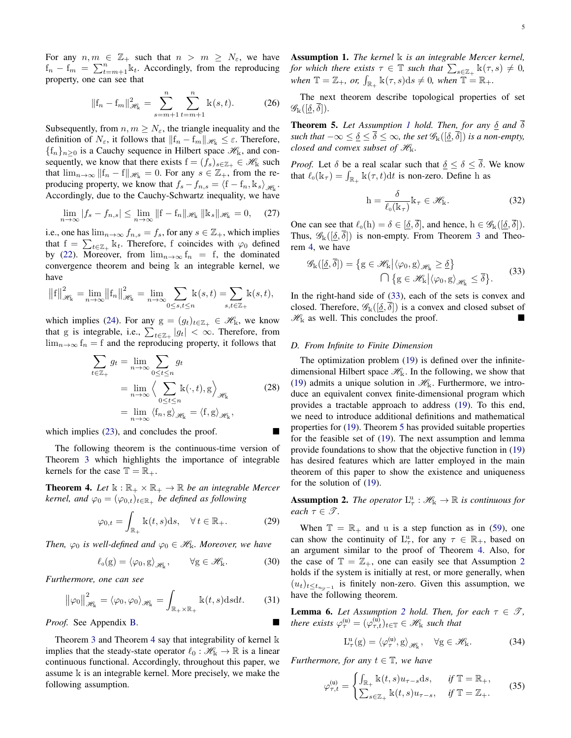For any  $n, m \in \mathbb{Z}_+$  such that  $n > m \geq N_{\varepsilon}$ , we have  $f_n - f_m = \sum_{t=m+1}^n k_t$ . Accordingly, from the reproducing property, one can see that

$$
||\mathbf{f}_n - \mathbf{f}_m||_{\mathcal{H}_k}^2 = \sum_{s=m+1}^n \sum_{t=m+1}^n \mathbf{k}(s, t). \tag{26}
$$

Subsequently, from  $n, m \geq N_{\varepsilon}$ , the triangle inequality and the definition of  $N_{\varepsilon}$ , it follows that  $||f_n - f_m||_{\mathcal{H}_k} \leq \varepsilon$ . Therefore,  ${f_n}_{n>0}$  is a Cauchy sequence in Hilbert space  $\mathcal{H}_k$ , and consequently, we know that there exists  $f = (f_s)_{s \in \mathbb{Z}_+} \in \mathcal{H}_k$  such that  $\lim_{n\to\infty}$   $||f_n - f||_{\mathcal{H}_k} = 0$ . For any  $s \in \mathbb{Z}_+$ , from the reproducing property, we know that  $f_s - f_{n,s} = \langle f - f_n, \mathbb{1}_s \rangle_{\mathcal{H}_k}$ . Accordingly, due to the Cauchy-Schwartz inequality, we have

$$
\lim_{n \to \infty} |f_s - f_{n,s}| \le \lim_{n \to \infty} \|f - f_n\|_{\mathcal{H}_k} \|k_s\|_{\mathcal{H}_k} = 0, \quad (27)
$$

i.e., one has  $\lim_{n\to\infty} f_{n,s} = f_s$ , for any  $s \in \mathbb{Z}_+$ , which implies that  $f = \sum_{t \in \mathbb{Z}_+} \mathbb{k}_t$ . Therefore, f coincides with  $\varphi_0$  defined by [\(22\)](#page-3-3). Moreover, from  $\lim_{n\to\infty} f_n = f$ , the dominated convergence theorem and being  $k$  an integrable kernel, we have

$$
\left\|f\right\|_{\mathscr{H}_{\mathbf{k}}}^2 = \lim_{n \to \infty} \left\|f_n\right\|_{\mathscr{H}_{\mathbf{k}}}^2 = \lim_{n \to \infty} \sum_{0 \le s,t \le n} \mathbf{k}(s,t) = \sum_{s,t \in \mathbb{Z}_+} \mathbf{k}(s,t),
$$

which implies [\(24\)](#page-3-4). For any  $g = (g_t)_{t \in \mathbb{Z}_+} \in \mathcal{H}_k$ , we know that g is integrable, i.e.,  $\sum_{t \in \mathbb{Z}_+} |g_t| < \infty$ . Therefore, from  $\lim_{n\to\infty}$  f<sub>n</sub> = f and the reproducing property, it follows that

$$
\sum_{t \in \mathbb{Z}_+} g_t = \lim_{n \to \infty} \sum_{0 \le t \le n} g_t
$$
\n
$$
= \lim_{n \to \infty} \left\langle \sum_{0 \le t \le n} \mathbb{k}(\cdot, t), g \right\rangle_{\mathscr{H}_{\mathbb{k}}} \tag{28}
$$
\n
$$
= \lim_{n \to \infty} \left\langle f_n, g \right\rangle_{\mathscr{H}_{\mathbb{k}}} = \left\langle f, g \right\rangle_{\mathscr{H}_{\mathbb{k}}},
$$

which implies  $(23)$ , and concludes the proof.

The following theorem is the continuous-time version of Theorem [3](#page-3-6) which highlights the importance of integrable kernels for the case  $\mathbb{T} = \mathbb{R}_+$ .

<span id="page-4-0"></span>**Theorem 4.** Let  $\mathbb{k} : \mathbb{R}_+ \times \mathbb{R}_+ \to \mathbb{R}$  be an integrable Mercer *kernel, and*  $\varphi_0 = (\varphi_{0,t})_{t \in \mathbb{R}_+}$  *be defined as following* 

<span id="page-4-8"></span>
$$
\varphi_{0,t} = \int_{\mathbb{R}_+} \mathbb{k}(t,s) \, \mathrm{d}s, \quad \forall \, t \in \mathbb{R}_+.
$$

*Then,*  $\varphi_0$  *is well-defined and*  $\varphi_0 \in \mathcal{H}_k$ *. Moreover, we have* 

<span id="page-4-10"></span>
$$
\ell_0(g) = \langle \varphi_0, g \rangle_{\mathscr{H}_k}, \qquad \forall g \in \mathscr{H}_k. \tag{30}
$$

*Furthermore, one can see*

<span id="page-4-9"></span>
$$
\left\|\varphi_0\right\|_{\mathscr{H}_{\mathbf{k}}}^2 = \langle\varphi_0, \varphi_0\rangle_{\mathscr{H}_{\mathbf{k}}} = \int_{\mathbb{R}_+ \times \mathbb{R}_+} \mathbf{k}(t, s) \mathrm{d} s \mathrm{d} t. \tag{31}
$$

*Proof.* See Appendix [B.](#page-11-0)

Theorem [3](#page-3-6) and Theorem [4](#page-4-0) say that integrability of kernel k implies that the steady-state operator  $\ell_0 : \mathcal{H}_k \to \mathbb{R}$  is a linear continuous functional. Accordingly, throughout this paper, we assume k is an integrable kernel. More precisely, we make the following assumption.

<span id="page-4-1"></span>Assumption 1. *The kernel* k *is an integrable Mercer kernel*, *for which there exists*  $\tau \in \mathbb{T}$  *such that*  $\sum_{s \in \mathbb{Z}_+} \mathbb{k}(\tau, s) \neq 0$ , when  $\mathbb{T} = \mathbb{Z}_+$ , or,  $\int_{\mathbb{R}_+} \mathbb{k}(\tau, s) ds \neq 0$ , when  $\mathbb{T} = \mathbb{R}_+$ .

The next theorem describe topological properties of set  $\mathscr{G}_{\mathbb{k}}([\delta,\overline{\delta}]).$ 

<span id="page-4-3"></span>**Theorem 5.** Let Assumption [1](#page-4-1) hold. Then, for any  $\delta$  and  $\delta$ *such that*  $-\infty \leq \underline{\delta} \leq \overline{\delta} \leq \infty$ *, the set*  $\mathscr{G}_{\mathbb{k}}([\underline{\delta}, \overline{\delta}])$  *is a non-empty, closed and convex subset of*  $\mathcal{H}_{k}$ *.* 

*Proof.* Let  $\delta$  be a real scalar such that  $\delta \leq \delta \leq \overline{\delta}$ . We know that  $\ell_0(\mathbf{k}_{\tau}) = \int_{\mathbb{R}_+} \mathbf{k}(\tau, t) dt$  is non-zero. Define h as

<span id="page-4-5"></span>
$$
h = \frac{\delta}{\ell_0(k_\tau)} k_\tau \in \mathcal{H}_k.
$$
 (32)

One can see that  $\ell_0(h) = \delta \in [\underline{\delta}, \overline{\delta}]$ , and hence,  $h \in \mathscr{G}_{\mathbb{k}}([\underline{\delta}, \overline{\delta}])$ . Thus,  $\mathscr{G}_k([\underline{\delta}, \delta])$  is non-empty. From Theorem [3](#page-3-6) and Theorem [4,](#page-4-0) we have

<span id="page-4-2"></span>
$$
\mathscr{G}_{\mathbb{k}}([\underline{\delta}, \overline{\delta}]) = \{ g \in \mathscr{H}_{\mathbb{k}} \big| \langle \varphi_0, g \rangle_{\mathscr{H}_{\mathbb{k}}} \geq \underline{\delta} \} \qquad (33)
$$

$$
\bigcap \{ g \in \mathscr{H}_{\mathbb{k}} \big| \langle \varphi_0, g \rangle_{\mathscr{H}_{\mathbb{k}}} \leq \overline{\delta} \}.
$$

In the right-hand side of [\(33\)](#page-4-2), each of the sets is convex and closed. Therefore,  $\mathscr{G}_{\mathbb{k}}([\underline{\delta}, \delta])$  is a convex and closed subset of  $\mathcal{H}_{k}$  as well. This concludes the proof.

#### *D. From Infinite to Finite Dimension*

The optimization problem [\(19\)](#page-3-2) is defined over the infinitedimensional Hilbert space  $\mathcal{H}_k$ . In the following, we show that [\(19\)](#page-3-2) admits a unique solution in  $\mathcal{H}_k$ . Furthermore, we introduce an equivalent convex finite-dimensional program which provides a tractable approach to address [\(19\)](#page-3-2). To this end, we need to introduce additional definitions and mathematical properties for [\(19\)](#page-3-2). Theorem [5](#page-4-3) has provided suitable properties for the feasible set of [\(19\)](#page-3-2). The next assumption and lemma provide foundations to show that the objective function in [\(19\)](#page-3-2) has desired features which are latter employed in the main theorem of this paper to show the existence and uniqueness for the solution of [\(19\)](#page-3-2).

<span id="page-4-4"></span>**Assumption 2.** The operator  $L^u_\tau : \mathcal{H}_k \to \mathbb{R}$  is continuous for *each*  $\tau \in \mathcal{T}$ *.* 

When  $\mathbb{T} = \mathbb{R}_+$  and u is a step function as in [\(59\)](#page-6-0), one can show the continuity of  $L^u_\tau$ , for any  $\tau \in \mathbb{R}_+$ , based on an argument similar to the proof of Theorem [4.](#page-4-0) Also, for the case of  $\mathbb{T} = \mathbb{Z}_+$ , one can easily see that Assumption [2](#page-4-4) holds if the system is initially at rest, or more generally, when  $(u_t)_{t \leq t_{n_{\mathscr{D}}-1}}$  is finitely non-zero. Given this assumption, we have the following theorem.

<span id="page-4-6"></span>**Lemma 6.** Let Assumption [2](#page-4-4) hold. Then, for each  $\tau \in \mathcal{T}$ , *there exists*  $\varphi_{\tau}^{(u)} = (\varphi_{\tau,t}^{(u)})_{t \in \mathbb{T}} \in \mathcal{H}_{k}$  *such that* 

$$
L^u_\tau(g) = \langle \varphi^{(u)}_\tau, g \rangle_{\mathscr{H}_k}, \quad \forall g \in \mathscr{H}_k. \tag{34}
$$

*Furthermore, for any*  $t \in \mathbb{T}$ *, we have* 

<span id="page-4-7"></span>
$$
\varphi_{\tau,t}^{(\mathbf{u})} = \begin{cases} \int_{\mathbb{R}_+} \mathbb{k}(t,s) u_{\tau-s} \, \mathrm{d}s, & \text{if } \mathbb{T} = \mathbb{R}_+, \\ \sum_{s \in \mathbb{Z}_+} \mathbb{k}(t,s) u_{\tau-s}, & \text{if } \mathbb{T} = \mathbb{Z}_+. \end{cases} \tag{35}
$$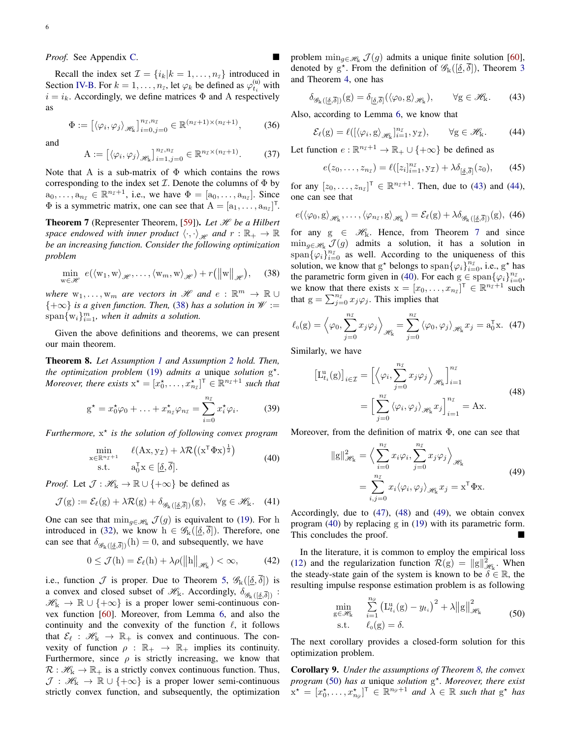*Proof.* See Appendix [C.](#page-12-0)

Recall the index set  $\mathcal{I} = \{i_k | k = 1, \dots, n_{\mathcal{I}}\}$  introduced in Section [IV-B.](#page-3-7) For  $k = 1, ..., n_{\tau}$ , let  $\varphi_k$  be defined as  $\varphi_{t_i}^{(u)}$  with  $i = i_k$ . Accordingly, we define matrices  $\Phi$  and A respectively as

<span id="page-5-11"></span>
$$
\Phi := \left[ \langle \varphi_i, \varphi_j \rangle_{\mathscr{H}_k} \right]_{i=0, j=0}^{n_{\mathcal{I}}, n_{\mathcal{I}}} \in \mathbb{R}^{(n_{\mathcal{I}}+1) \times (n_{\mathcal{I}}+1)}, \quad (36)
$$

and

<span id="page-5-12"></span>
$$
\mathbf{A} := \left[ \langle \varphi_i, \varphi_j \rangle_{\mathcal{H}_k} \right]_{i=1, j=0}^{n_{\mathcal{I}}, n_{\mathcal{I}}} \in \mathbb{R}^{n_{\mathcal{I}} \times (n_{\mathcal{I}} + 1)}. \tag{37}
$$

Note that A is a sub-matrix of  $\Phi$  which contains the rows corresponding to the index set  $I$ . Denote the columns of  $\Phi$  by  $a_0, \ldots, a_{n_\mathcal{I}} \in \mathbb{R}^{n_\mathcal{I}+1}$ , i.e., we have  $\Phi = [a_0, \ldots, a_{n_\mathcal{I}}]$ . Since  $\Phi$  is a symmetric matrix, one can see that  $A = [a_1, \dots, a_{n_{\mathcal{I}}}]^T$ .

<span id="page-5-3"></span>**Theorem 7** (Representer Theorem, [\[59\]](#page-15-29)). Let  $\mathcal{H}$  be a Hilbert *space endowed with inner product*  $\langle \cdot, \cdot \rangle_{\mathcal{H}}$  and  $r : \mathbb{R}_+ \to \mathbb{R}$ *be an increasing function. Consider the following optimization problem*

<span id="page-5-0"></span>
$$
\min_{w \in \mathcal{H}} e(\langle w_1, w \rangle_{\mathcal{H}}, \dots, \langle w_m, w \rangle_{\mathcal{H}}) + r(||w||_{\mathcal{H}}), \quad (38)
$$

*where*  $w_1, \ldots, w_m$  *are vectors in*  $\mathscr H$  *and*  $e : \mathbb R^m \to \mathbb R \cup$ {+∞} *is a given function. Then,* [\(38\)](#page-5-0) *has a solution in* W :=  $\text{span}\{w_i\}_{i=1}^m$ , when it admits a solution.

Given the above definitions and theorems, we can present our main theorem.

<span id="page-5-8"></span>Theorem 8. *Let Assumption [1](#page-4-1) and Assumption [2](#page-4-4) hold. Then, the optimization problem* [\(19\)](#page-3-2) *admits a* unique *solution* g ? *. Moreover, there exists*  $x^* = [x_0^*, \ldots, x_{n_\tau}^*]^T \in \mathbb{R}^{n_\tau+1}$  such that

<span id="page-5-10"></span>
$$
g^* = x_0^* \varphi_0 + \ldots + x_{n_\mathcal{I}}^* \varphi_{n_\mathcal{I}} = \sum_{i=0}^{n_\mathcal{I}} x_i^* \varphi_i.
$$
 (39)

*Furthermore,* x ? *is the solution of following convex program*

<span id="page-5-4"></span>
$$
\min_{\mathbf{x} \in \mathbb{R}^{n_{\mathcal{I}}+1}} \quad \ell(\mathbf{A}\mathbf{x}, \mathbf{y}_{\mathcal{I}}) + \lambda \mathcal{R}\left((\mathbf{x}^{\mathsf{T}} \Phi \mathbf{x})^{\frac{1}{2}}\right) \n\quad s.t. \quad a_0^{\mathsf{T}} \mathbf{x} \in [\underline{\delta}, \overline{\delta}].
$$
\n(40)

*Proof.* Let  $\mathcal{J} : \mathcal{H}_k \to \mathbb{R} \cup \{+\infty\}$  be defined as

$$
\mathcal{J}(g) := \mathcal{E}_{\ell}(g) + \lambda \mathcal{R}(g) + \delta_{\mathscr{G}_k([\underline{\delta}, \overline{\delta}])}(g), \quad \forall g \in \mathscr{H}_k. \quad (41)
$$

One can see that  $\min_{g \in \mathcal{H}_k} \mathcal{J}(g)$  is equivalent to [\(19\)](#page-3-2). For h introduced in [\(32\)](#page-4-5), we know  $h \in \mathscr{G}_{k}([\underline{\delta}, \delta])$ . Therefore, one can see that  $\delta_{\mathcal{G}_k(\delta,\overline{\delta})}(h) = 0$ , and subsequently, we have

$$
0 \leq \mathcal{J}(h) = \mathcal{E}_{\ell}(h) + \lambda \rho(||h||_{\mathcal{H}_k}) < \infty,
$$
 (42)

i.e., function  $\mathcal J$  is proper. Due to Theorem [5,](#page-4-3)  $\mathscr G_k([\underline{\delta}, \delta])$  is a convex and closed subset of  $\mathcal{H}_k$ . Accordingly,  $\delta_{\mathcal{G}_k(\delta,\overline{\delta})}$ :  $\mathscr{H}_k \to \mathbb{R} \cup \{+\infty\}$  is a proper lower semi-continuous convex function [\[60\]](#page-15-30). Moreover, from Lemma [6,](#page-4-6) and also the continuity and the convexity of the function  $\ell$ , it follows that  $\mathcal{E}_{\ell} : \mathcal{H}_{k} \to \mathbb{R}_{+}$  is convex and continuous. The convexity of function  $\rho : \mathbb{R}_+ \to \mathbb{R}_+$  implies its continuity. Furthermore, since  $\rho$  is strictly increasing, we know that  $\mathcal{R}: \mathcal{H}_{k} \to \mathbb{R}_{+}$  is a strictly convex continuous function. Thus,  $\mathcal{J}: \mathcal{H}_{\mathbb{k}} \to \mathbb{R} \cup \{+\infty\}$  is a proper lower semi-continuous strictly convex function, and subsequently, the optimization problem  $\min_{g \in \mathcal{H}_k} \mathcal{J}(g)$  admits a unique finite solution [\[60\]](#page-15-30), denoted by  $g^*$ . From the definition of  $\mathscr{G}_k([\underline{\delta}, \overline{\delta}])$ , Theorem [3](#page-3-6) and Theorem [4,](#page-4-0) one has

<span id="page-5-1"></span>
$$
\delta_{\mathscr{G}_{k}([\underline{\delta},\overline{\delta}])}(g) = \delta_{[\underline{\delta},\overline{\delta}]}(\langle \varphi_0, g \rangle_{\mathscr{H}_{k}}), \qquad \forall g \in \mathscr{H}_{k}.
$$
 (43)

Also, according to Lemma [6,](#page-4-6) we know that

<span id="page-5-2"></span>
$$
\mathcal{E}_{\ell}(g) = \ell([\langle \varphi_i, g \rangle_{\mathscr{H}_k}]_{i=1}^{n_{\mathcal{I}}}, y_{\mathcal{I}}), \qquad \forall g \in \mathscr{H}_k.
$$
 (44)

Let function  $e : \mathbb{R}^{n_{\mathcal{I}}+1} \to \mathbb{R}_+ \cup \{+\infty\}$  be defined as

$$
e(z_0,\ldots,z_{n})=\ell([z_i]_{i=1}^{n})\mathbf{y}_\mathcal{I})+\lambda\delta_{[\underline{\delta},\overline{\delta}]}(z_0),\qquad(45)
$$

for any  $[z_0, ..., z_{n}]^T \in \mathbb{R}^{n_T+1}$ . Then, due to [\(43\)](#page-5-1) and [\(44\)](#page-5-2), one can see that

$$
e(\langle \varphi_0, g \rangle_{\mathscr{H}_k}, \dots, \langle \varphi_{n_{\mathcal{I}}}, g \rangle_{\mathscr{H}_k}) = \mathcal{E}_{\ell}(g) + \lambda \delta_{\mathscr{G}_k([\underline{\delta}, \overline{\delta}])}(g), \tag{46}
$$

for any  $g \in \mathcal{H}_k$ . Hence, from Theorem [7](#page-5-3) and since  $\min_{g \in \mathcal{H}_k} \mathcal{J}(g)$  admits a solution, it has a solution in  $\text{span}\{\varphi_i\}_{i=0}^{n_{\mathcal{I}}}$  as well. According to the uniqueness of this solution, we know that  $g^*$  belongs to span $\{\varphi_i\}_{i=0}^{n_{\mathcal{I}}}$ , i.e.,  $g^*$  has the parametric form given in [\(40\)](#page-5-4). For each  $g \in \text{span}\{\varphi_i\}_{i=0}^{n_{\mathcal{I}}},$ we know that there exists  $x = [x_0, \dots, x_{n}^{\top}]^{\top} \in \mathbb{R}^{n}^{+1}$  such that  $g = \sum_{j=0}^{n_{\mathcal{I}}} x_j \varphi_j$ . This implies that

<span id="page-5-5"></span>
$$
\ell_0(\mathbf{g}) = \left\langle \varphi_0, \sum_{j=0}^{n_{\mathcal{I}}} x_j \varphi_j \right\rangle_{\mathscr{H}_{\mathbf{k}}} = \sum_{j=0}^{n_{\mathcal{I}}} \left\langle \varphi_0, \varphi_j \right\rangle_{\mathscr{H}_{\mathbf{k}}} x_j = \mathbf{a}_0^{\mathsf{T}} \mathbf{x}. \tag{47}
$$

Similarly, we have

<span id="page-5-6"></span>
$$
\begin{aligned} \left[\mathbf{L}_{t_i}^{\mathrm{u}}(\mathrm{g})\right]_{i \in \mathcal{I}} &= \left[ \left\langle \varphi_i, \sum_{j=0}^{n_{\mathcal{I}}} x_j \varphi_j \right\rangle_{\mathscr{H}_{\mathrm{k}}} \right]_{i=1}^{n_{\mathcal{I}}} \\ &= \left[ \sum_{j=0}^{n_{\mathcal{I}}} \left\langle \varphi_i, \varphi_j \right\rangle_{\mathscr{H}_{\mathrm{k}}} x_j \right]_{i=1}^{n_{\mathcal{I}}} = \mathrm{Ax}. \end{aligned} \tag{48}
$$

<span id="page-5-7"></span>Moreover, from the definition of matrix  $\Phi$ , one can see that

$$
||g||_{\mathcal{H}_{k}}^{2} = \left\langle \sum_{i=0}^{n_{\mathcal{I}}} x_{i} \varphi_{i}, \sum_{j=0}^{n_{\mathcal{I}}} x_{j} \varphi_{j} \right\rangle_{\mathcal{H}_{k}}
$$
  
= 
$$
\sum_{i,j=0}^{n_{\mathcal{I}}} x_{i} \langle \varphi_{i}, \varphi_{j} \rangle_{\mathcal{H}_{k}} x_{j} = x^{\mathsf{T}} \Phi x.
$$
 (49)

Accordingly, due to [\(47\)](#page-5-5), [\(48\)](#page-5-6) and [\(49\)](#page-5-7), we obtain convex program [\(40\)](#page-5-4) by replacing g in [\(19\)](#page-3-2) with its parametric form. This concludes the proof.

In the literature, it is common to employ the empirical loss [\(12\)](#page-3-0) and the regularization function  $\mathcal{R}(g) = ||g||_{\mathcal{H}_k}^2$ . When the steady-state gain of the system is known to be  $\delta \in \mathbb{R}$ , the resulting impulse response estimation problem is as following

<span id="page-5-9"></span>
$$
\min_{\mathbf{g}\in\mathscr{H}_{\mathbf{k}}} \quad \sum_{i=1}^{n_{\mathscr{D}}} \left( \mathbf{L}_{t_i}^{\mathbf{u}}(\mathbf{g}) - y_{t_i} \right)^2 + \lambda ||\mathbf{g}||_{\mathscr{H}_{\mathbf{k}}}^2
$$
\n
$$
\text{s.t.} \quad \ell_0(\mathbf{g}) = \delta. \tag{50}
$$

The next corollary provides a closed-form solution for this optimization problem.

Corollary 9. *Under the assumptions of Theorem [8,](#page-5-8) the convex program* [\(50\)](#page-5-9) *has a* unique *solution* g ? *. Moreover, there exist*  $\mathbf{x}^* = [x_0^*, \dots, x_{n_\mathscr{D}}^*]^\mathsf{T} \in \mathbb{R}^{n_\mathscr{D}+1}$  and  $\lambda \in \mathbb{R}$  such that  $\mathbf{g}^*$  has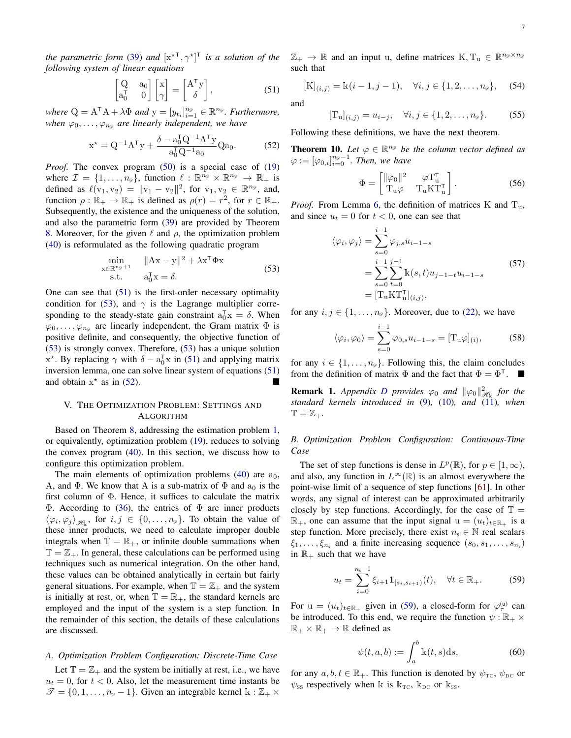*the parametric form* [\(39\)](#page-5-10) *and*  $[x^{\star}]^{\tau}$ ,  $\gamma^{\star}]^{\tau}$  *is a solution of the following system of linear equations*

<span id="page-6-1"></span>
$$
\begin{bmatrix} Q & a_0 \ a_0^{\mathsf{T}} & 0 \end{bmatrix} \begin{bmatrix} x \\ \gamma \end{bmatrix} = \begin{bmatrix} A^{\mathsf{T}} y \\ \delta \end{bmatrix}, \tag{51}
$$

where  $Q = A^{\mathsf{T}} A + \lambda \Phi$  and  $y = [y_{t_i}]_{i=1}^{n_{\mathscr{D}}} \in \mathbb{R}^{n_{\mathscr{D}}}$ . Furthermore, when  $\varphi_0, \ldots, \varphi_{n_{\mathscr{D}}}$  are linearly independent, we have

<span id="page-6-3"></span>
$$
x^* = Q^{-1}A^{\mathsf{T}}y + \frac{\delta - a_0^{\mathsf{T}}Q^{-1}A^{\mathsf{T}}y}{a_0^{\mathsf{T}}Q^{-1}a_0}Qa_0.
$$
 (52)

*Proof.* The convex program [\(50\)](#page-5-9) is a special case of [\(19\)](#page-3-2) where  $\mathcal{I} = \{1, \ldots, n_{\mathscr{D}}\},$  function  $\ell : \mathbb{R}^{n_{\mathscr{D}}} \times \mathbb{R}^{n_{\mathscr{D}}} \to \mathbb{R}_+$  is defined as  $\ell(v_1, v_2) = ||v_1 - v_2||^2$ , for  $v_1, v_2 \in \mathbb{R}^{n_{\mathscr{D}}}$ , and, function  $\rho : \mathbb{R}_+ \to \mathbb{R}_+$  is defined as  $\rho(r) = r^2$ , for  $r \in \mathbb{R}_+$ . Subsequently, the existence and the uniqueness of the solution, and also the parametric form [\(39\)](#page-5-10) are provided by Theorem [8.](#page-5-8) Moreover, for the given  $\ell$  and  $\rho$ , the optimization problem [\(40\)](#page-5-4) is reformulated as the following quadratic program

<span id="page-6-2"></span>
$$
\min_{\substack{\mathbf{x} \in \mathbb{R}^{n_{\mathscr{D}}+1} \\ \mathbf{s}.\mathbf{t}}} \quad \|\mathbf{A}\mathbf{x} - \mathbf{y}\|^2 + \lambda \mathbf{x}^\mathsf{T} \Phi \mathbf{x} \tag{53}
$$
\n
$$
\sum_{\substack{\mathbf{x} \in \mathbb{R}^{n_{\mathscr{D}}+1} \\ \mathbf{s}.\mathbf{t}}} \quad a_0^\mathsf{T} \mathbf{x} = \delta.
$$

One can see that [\(51\)](#page-6-1) is the first-order necessary optimality condition for [\(53\)](#page-6-2), and  $\gamma$  is the Lagrange multiplier corresponding to the steady-state gain constraint  $a_0^T x = \delta$ . When  $\varphi_0, \ldots, \varphi_{n_{\mathscr{D}}}$  are linearly independent, the Gram matrix  $\Phi$  is positive definite, and consequently, the objective function of [\(53\)](#page-6-2) is strongly convex. Therefore, [\(53\)](#page-6-2) has a unique solution  $x^*$ . By replacing  $\gamma$  with  $\delta - a_0^T x$  in [\(51\)](#page-6-1) and applying matrix inversion lemma, one can solve linear system of equations [\(51\)](#page-6-1) and obtain  $x^*$  as in [\(52\)](#page-6-3).

## V. THE OPTIMIZATION PROBLEM: SETTINGS AND ALGORITHM

Based on Theorem [8,](#page-5-8) addressing the estimation problem [1,](#page-2-1) or equivalently, optimization problem [\(19\)](#page-3-2), reduces to solving the convex program [\(40\)](#page-5-4). In this section, we discuss how to configure this optimization problem.

The main elements of optimization problems  $(40)$  are  $a<sub>0</sub>$ , A, and  $\Phi$ . We know that A is a sub-matrix of  $\Phi$  and  $a_0$  is the first column of Φ. Hence, it suffices to calculate the matrix Φ. According to [\(36\)](#page-5-11), the entries of Φ are inner products  $\langle \varphi_i, \varphi_j \rangle_{\mathcal{H}_k}$ , for  $i, j \in \{0, ..., n_\mathcal{D}\}\$ . To obtain the value of these inner products, we need to calculate improper double integrals when  $\mathbb{T} = \mathbb{R}_+$ , or infinite double summations when  $\mathbb{T} = \mathbb{Z}_+$ . In general, these calculations can be performed using techniques such as numerical integration. On the other hand, these values can be obtained analytically in certain but fairly general situations. For example, when  $\mathbb{T} = \mathbb{Z}_+$  and the system is initially at rest, or, when  $\mathbb{T} = \mathbb{R}_+$ , the standard kernels are employed and the input of the system is a step function. In the remainder of this section, the details of these calculations are discussed.

## *A. Optimization Problem Configuration: Discrete-Time Case*

Let  $\mathbb{T} = \mathbb{Z}_+$  and the system be initially at rest, i.e., we have  $u_t = 0$ , for  $t < 0$ . Also, let the measurement time instants be  $\mathscr{T} = \{0, 1, \ldots, n_{\mathscr{D}} - 1\}$ . Given an integrable kernel k :  $\mathbb{Z}_+ \times$ 

 $\mathbb{Z}_+ \to \mathbb{R}$  and an input u, define matrices  $K, T_u \in \mathbb{R}^{n_g \times n_g}$ such that

$$
[\mathbf{K}]_{(i,j)} = \mathbb{k}(i-1,j-1), \quad \forall i, j \in \{1,2,\ldots,n_{\mathscr{D}}\}, \quad (54)
$$

and

$$
[\mathbf{T}_{\mathbf{u}}]_{(i,j)} = u_{i-j}, \quad \forall i, j \in \{1, 2, \dots, n_{\mathscr{D}}\}.
$$
 (55)

Following these definitions, we have the next theorem.

<span id="page-6-5"></span>**Theorem 10.** Let  $\varphi \in \mathbb{R}^{n_{\mathscr{D}}}$  be the column vector defined as  $\varphi := [\varphi_{0,i}]_{i=0}^{n_{\mathscr{D}}-1}$ . Then, we have

$$
\Phi = \begin{bmatrix} ||\varphi_0||^2 & \varphi \mathbf{T}_\mathbf{u}^\mathsf{T} \\ \mathbf{T}_\mathbf{u} \varphi & \mathbf{T}_\mathbf{u} \mathbf{K} \mathbf{T}_\mathbf{u}^\mathsf{T} \end{bmatrix} . \tag{56}
$$

*Proof.* From Lemma [6,](#page-4-6) the definition of matrices K and  $T_u$ , and since  $u_t = 0$  for  $t < 0$ , one can see that

$$
\langle \varphi_i, \varphi_j \rangle = \sum_{s=0}^{i-1} \varphi_{j,s} u_{i-1-s}
$$
  
= 
$$
\sum_{s=0}^{i-1} \sum_{t=0}^{j-1} k(s,t) u_{j-1-t} u_{i-1-s}
$$
  
= 
$$
[\mathbf{T}_u \mathbf{K} \mathbf{T}_u^{\mathsf{T}}]_{(i,j)},
$$
 (57)

for any  $i, j \in \{1, \ldots, n_{\mathcal{D}}\}$ . Moreover, due to [\(22\)](#page-3-3), we have

$$
\langle \varphi_i, \varphi_0 \rangle = \sum_{s=0}^{i-1} \varphi_{0,s} u_{i-1-s} = [\mathbf{T}_\mathbf{u} \varphi]_{(i)},\tag{58}
$$

for any  $i \in \{1, \ldots, n_{\mathcal{D}}\}$ . Following this, the claim concludes from the definition of matrix  $\Phi$  and the fact that  $\Phi = \Phi^{\top}$ .

<span id="page-6-6"></span>**Remark 1.** Appendix [D](#page-12-1) provides  $\varphi_0$  and  $\|\varphi_0\|_{\mathcal{H}_k}^2$  for the *standard kernels introduced in* [\(9\)](#page-2-3)*,* [\(10\)](#page-2-4)*, and* [\(11\)](#page-2-5)*, when*  $\mathbb{T} = \mathbb{Z}_+$ .

*B. Optimization Problem Configuration: Continuous-Time Case*

The set of step functions is dense in  $L^p(\mathbb{R})$ , for  $p \in [1, \infty)$ , and also, any function in  $L^{\infty}(\mathbb{R})$  is an almost everywhere the point-wise limit of a sequence of step functions [\[61\]](#page-15-31). In other words, any signal of interest can be approximated arbitrarily closely by step functions. Accordingly, for the case of  $\mathbb{T} =$  $\mathbb{R}_+$ , one can assume that the input signal  $u = (u_t)_{t \in \mathbb{R}_+}$  is a step function. More precisely, there exist  $n_s \in \mathbb{N}$  real scalars  $\xi_1, \ldots, \xi_{n_s}$  and a finite increasing sequence  $(s_0, s_1, \ldots, s_{n_s})$ in  $\mathbb{R}_+$  such that we have

<span id="page-6-0"></span>
$$
u_t = \sum_{i=0}^{n_s - 1} \xi_{i+1} \mathbf{1}_{[s_i, s_{i+1})}(t), \quad \forall t \in \mathbb{R}_+.
$$
 (59)

For  $u = (u_t)_{t \in \mathbb{R}_+}$  given in [\(59\)](#page-6-0), a closed-form for  $\varphi_{\tau}^{(u)}$  can be introduced. To this end, we require the function  $\psi : \mathbb{R}_+ \times$  $\mathbb{R}_+ \times \mathbb{R}_+ \to \mathbb{R}$  defined as

<span id="page-6-4"></span>
$$
\psi(t, a, b) := \int_{a}^{b} \mathbf{k}(t, s) \mathrm{d}s,\tag{60}
$$

for any  $a, b, t \in \mathbb{R}_+$ . This function is denoted by  $\psi_{\text{TC}}$ ,  $\psi_{\text{DC}}$  or  $\psi_{\rm{ss}}$  respectively when k is  $k_{\rm{TC}}$ ,  $k_{\rm{DC}}$  or  $k_{\rm{ss}}$ .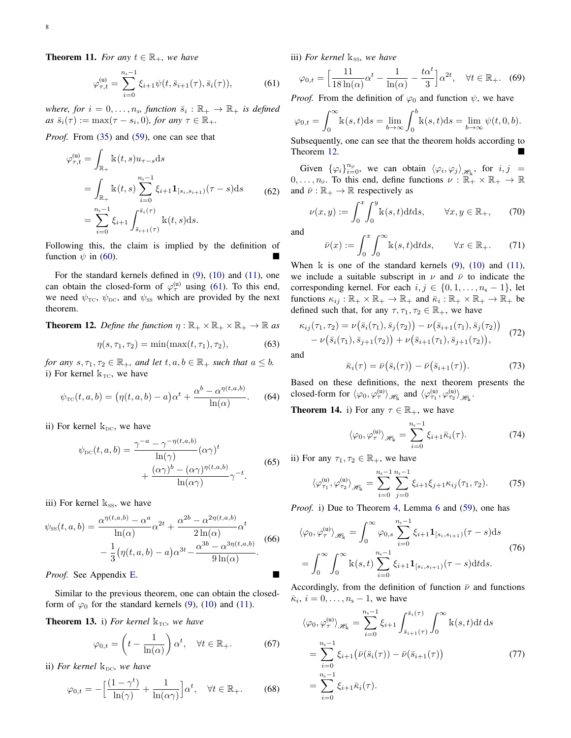<span id="page-7-9"></span>**Theorem 11.** *For any*  $t \in \mathbb{R}_+$ *, we have* 

<span id="page-7-0"></span>
$$
\varphi_{\tau,t}^{(u)} = \sum_{i=0}^{n_s - 1} \xi_{i+1} \psi(t, \bar{s}_{i+1}(\tau), \bar{s}_i(\tau)), \tag{61}
$$

where, for  $i = 0, \ldots, n_s$ , function  $\bar{s}_i : \mathbb{R}_+ \to \mathbb{R}_+$  is defined  $as\ \bar{s}_i(\tau) := \max(\tau - s_i, 0)$ *, for any*  $\tau \in \mathbb{R}_+$ *.* 

*Proof.* From [\(35\)](#page-4-7) and [\(59\)](#page-6-0), one can see that

$$
\varphi_{\tau,t}^{(u)} = \int_{\mathbb{R}_+} \mathbb{k}(t,s) u_{\tau-s} ds
$$
  
= 
$$
\int_{\mathbb{R}_+} \mathbb{k}(t,s) \sum_{i=0}^{n_s-1} \xi_{i+1} \mathbf{1}_{[s_i,s_{i+1})}(\tau - s) ds
$$
 (62)  
= 
$$
\sum_{i=0}^{n_s-1} \xi_{i+1} \int_{\bar{s}_{i+1}(\tau)}^{\bar{s}_i(\tau)} \mathbb{k}(t,s) ds.
$$

Following this, the claim is implied by the definition of function  $\psi$  in [\(60\)](#page-6-4).

For the standard kernels defined in [\(9\)](#page-2-3), [\(10\)](#page-2-4) and [\(11\)](#page-2-5), one can obtain the closed-form of  $\varphi_{\tau}^{(u)}$  using [\(61\)](#page-7-0). To this end, we need  $\psi_{\text{TC}}$ ,  $\psi_{\text{DC}}$ , and  $\psi_{\text{SS}}$  which are provided by the next theorem.

<span id="page-7-1"></span>**Theorem 12.** *Define the function*  $\eta : \mathbb{R}_+ \times \mathbb{R}_+ \times \mathbb{R}_+ \to \mathbb{R}$  *as* 

$$
\eta(s, \tau_1, \tau_2) = \min(\max(t, \tau_1), \tau_2), \tag{63}
$$

*for any*  $s, \tau_1, \tau_2 \in \mathbb{R}_+$ *, and let*  $t, a, b \in \mathbb{R}_+$  *such that*  $a \leq b$ *.* i) For kernel  $k_{TC}$ , we have

<span id="page-7-10"></span>
$$
\psi_{\rm TC}(t, a, b) = \left(\eta(t, a, b) - a\right)\alpha^t + \frac{\alpha^b - \alpha^{\eta(t, a, b)}}{\ln(\alpha)}.\tag{64}
$$

ii) For kernel  $k_{DC}$ , we have

$$
\psi_{\text{DC}}(t, a, b) = \frac{\gamma^{-a} - \gamma^{-\eta(t, a, b)}}{\ln(\gamma)} (\alpha \gamma)^t + \frac{(\alpha \gamma)^b - (\alpha \gamma)^{\eta(t, a, b)}}{\ln(\alpha \gamma)} \gamma^{-t}.
$$
\n(65)

iii) For kernel  $k_{SS}$ , we have

<span id="page-7-11"></span>
$$
\psi_{\rm{ss}}(t,a,b) = \frac{\alpha^{\eta(t,a,b)} - \alpha^a}{\ln(\alpha)} \alpha^{2t} + \frac{\alpha^{2b} - \alpha^{2\eta(t,a,b)}}{2\ln(\alpha)} \alpha^t - \frac{1}{3} (\eta(t,a,b) - a) \alpha^{3t} - \frac{\alpha^{3b} - \alpha^{3\eta(t,a,b)}}{9\ln(\alpha)}.
$$
(66)

*Proof.* See Appendix [E.](#page-13-0)

Similar to the previous theorem, one can obtain the closedform of  $\varphi_0$  for the standard kernels [\(9\)](#page-2-3), [\(10\)](#page-2-4) and [\(11\)](#page-2-5).

<span id="page-7-8"></span>**Theorem 13.** i) For kernel  $k_{TC}$ , we have

$$
\varphi_{0,t} = \left(t - \frac{1}{\ln(\alpha)}\right)\alpha^t, \quad \forall t \in \mathbb{R}_+.
$$
 (67)

ii) *For kernel*  $k_{DC}$ *, we have* 

$$
\varphi_{0,t} = -\left[\frac{(1-\gamma^t)}{\ln(\gamma)} + \frac{1}{\ln(\alpha \gamma)}\right] \alpha^t, \quad \forall t \in \mathbb{R}_+.
$$
 (68)

iii) *For kernel*  $k_{SS}$ *, we have* 

$$
\varphi_{0,t} = \left[\frac{11}{18\ln(\alpha)}\alpha^t - \frac{1}{\ln(\alpha)} - \frac{t\alpha^t}{3}\right]\alpha^{2t}, \quad \forall t \in \mathbb{R}_+.
$$
 (69)

*Proof.* From the definition of  $\varphi_0$  and function  $\psi$ , we have

$$
\varphi_{0,t} = \int_0^\infty \mathbf{k}(s,t)ds = \lim_{b \to \infty} \int_0^b \mathbf{k}(s,t)ds = \lim_{b \to \infty} \psi(t,0,b).
$$

Subsequently, one can see that the theorem holds according to Theorem [12.](#page-7-1)

Given  $\{\varphi_i\}_{i=0}^{n_{\varphi}},$  we can obtain  $\langle \varphi_i, \varphi_j \rangle_{\mathscr{H}_{\mathrm{k}}},$  for  $i, j =$  $0, \ldots, n_{\varnothing}$ . To this end, define functions  $\nu : \mathbb{R}_+^n \times \mathbb{R}_+ \to \mathbb{R}$ and  $\bar{\nu} : \mathbb{R}_+ \to \mathbb{R}$  respectively as

<span id="page-7-2"></span>
$$
\nu(x,y) := \int_0^x \int_0^y \mathbf{k}(s,t) dt ds, \qquad \forall x, y \in \mathbb{R}_+, \qquad (70)
$$

and

$$
\bar{\nu}(x) := \int_0^x \int_0^\infty \mathbb{k}(s, t) dt ds, \qquad \forall x \in \mathbb{R}_+.
$$
 (71)

When  $\bf{k}$  is one of the standard kernels [\(9\)](#page-2-3), [\(10\)](#page-2-4) and [\(11\)](#page-2-5), we include a suitable subscript in  $\nu$  and  $\bar{\nu}$  to indicate the corresponding kernel. For each  $i, j \in \{0, 1, \ldots, n_s - 1\}$ , let functions  $\kappa_{ij} : \mathbb{R}_+ \times \mathbb{R}_+ \to \mathbb{R}_+$  and  $\bar{\kappa}_i : \mathbb{R}_+ \times \mathbb{R}_+ \to \mathbb{R}_+$  be defined such that, for any  $\tau$ ,  $\tau_1$ ,  $\tau_2 \in \mathbb{R}_+$ , we have

<span id="page-7-4"></span>
$$
\kappa_{ij}(\tau_1, \tau_2) = \nu(\bar{s}_i(\tau_1), \bar{s}_j(\tau_2)) - \nu(\bar{s}_{i+1}(\tau_1), \bar{s}_j(\tau_2)) - \nu(\bar{s}_i(\tau_1), \bar{s}_{j+1}(\tau_2)) + \nu(\bar{s}_{i+1}(\tau_1), \bar{s}_{j+1}(\tau_2)),
$$
\n(72)

and

<span id="page-7-5"></span>
$$
\bar{\kappa}_i(\tau) = \bar{\nu}(\bar{s}_i(\tau)) - \bar{\nu}(\bar{s}_{i+1}(\tau)). \tag{73}
$$

Based on these definitions, the next theorem presents the closed-form for  $\langle \varphi_0, \varphi_{\tau}^{(u)} \rangle_{\mathscr{H}_k}$  and  $\langle \varphi_{\tau_1}^{(u)}, \varphi_{\tau_2}^{(u)} \rangle_{\mathscr{H}_k}$ .

<span id="page-7-7"></span><span id="page-7-6"></span>**Theorem 14.** i) For any  $\tau \in \mathbb{R}_+$ , we have

$$
\langle \varphi_0, \varphi_{\tau}^{(u)} \rangle_{\mathcal{H}_k} = \sum_{i=0}^{n_s - 1} \xi_{i+1} \bar{\kappa}_i(\tau). \tag{74}
$$

<span id="page-7-3"></span>ii) For any  $\tau_1, \tau_2 \in \mathbb{R}_+$ , we have

$$
\langle \varphi_{\tau_1}^{(u)}, \varphi_{\tau_2}^{(u)} \rangle_{\mathcal{H}_k} = \sum_{i=0}^{n_s - 1} \sum_{j=0}^{n_s - 1} \xi_{i+1} \xi_{j+1} \kappa_{ij}(\tau_1, \tau_2). \tag{75}
$$

*Proof.* i) Due to Theorem [4,](#page-4-0) Lemma [6](#page-4-6) and [\(59\)](#page-6-0), one has

$$
\langle \varphi_0, \varphi_\tau^{(u)} \rangle_{\mathcal{H}_k} = \int_0^\infty \varphi_{0,s} \sum_{i=0}^{n_s - 1} \xi_{i+1} \mathbf{1}_{[s_i, s_{i+1})}(\tau - s) ds
$$
  
= 
$$
\int_0^\infty \int_0^\infty k(s, t) \sum_{i=0}^{n_s - 1} \xi_{i+1} \mathbf{1}_{[s_i, s_{i+1})}(\tau - s) dt ds.
$$
 (76)

Accordingly, from the definition of function  $\bar{\nu}$  and functions  $\bar{\kappa}_i$ ,  $i = 0, \ldots, n_s - 1$ , we have

$$
\langle \varphi_0, \varphi_{\tau}^{(u)} \rangle_{\mathcal{H}_{k}} = \sum_{i=0}^{n_s - 1} \xi_{i+1} \int_{\bar{s}_{i+1}(\tau)}^{\bar{s}_{i}(\tau)} \int_0^{\infty} k(s, t) dt ds
$$
  
= 
$$
\sum_{i=0}^{n_s - 1} \xi_{i+1} (\bar{\nu}(\bar{s}_i(\tau)) - \bar{\nu}(\bar{s}_{i+1}(\tau))
$$
(77)  
= 
$$
\sum_{i=0}^{n_s - 1} \xi_{i+1} \bar{\kappa}_i(\tau).
$$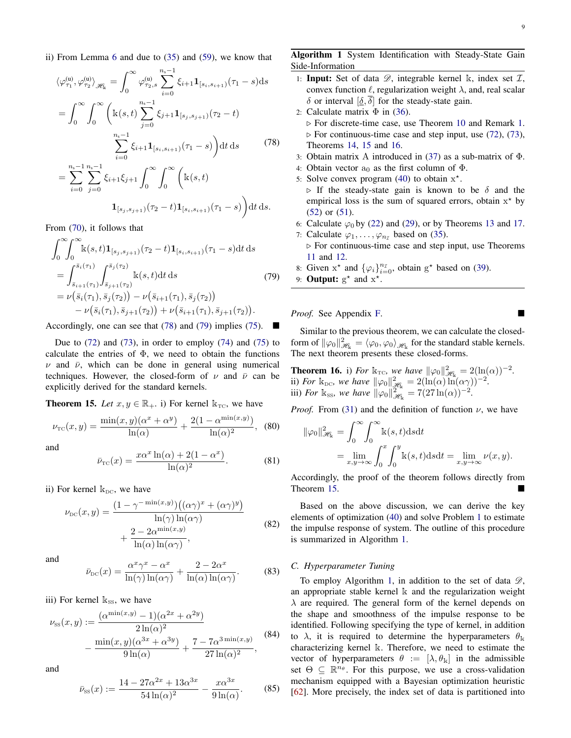ii) From Lemma [6](#page-4-6) and due to [\(35\)](#page-4-7) and [\(59\)](#page-6-0), we know that

<span id="page-8-0"></span>
$$
\langle \varphi_{\tau_1}^{(u)}, \varphi_{\tau_2}^{(u)} \rangle_{\mathscr{H}_{k}} = \int_0^{\infty} \varphi_{\tau_2,s}^{(u)} \sum_{i=0}^{n_s-1} \xi_{i+1} \mathbf{1}_{[s_i, s_{i+1})}(\tau_1 - s) ds
$$
  
\n
$$
= \int_0^{\infty} \int_0^{\infty} \left( k(s, t) \sum_{j=0}^{n_s-1} \xi_{j+1} \mathbf{1}_{[s_j, s_{j+1})}(\tau_2 - t) \right. \\ \left. \sum_{i=0}^{n_s-1} \xi_{i+1} \mathbf{1}_{[s_i, s_{i+1})}(\tau_1 - s) \right) dt ds \qquad (78)
$$
  
\n
$$
= \sum_{i=0}^{n_s-1} \sum_{j=0}^{n_s-1} \xi_{i+1} \xi_{j+1} \int_0^{\infty} \int_0^{\infty} \left( k(s, t) \right. \\ \left. \mathbf{1}_{[s_j, s_{j+1})}(\tau_2 - t) \mathbf{1}_{[s_i, s_{i+1})}(\tau_1 - s) \right) dt ds.
$$

From [\(70\)](#page-7-2), it follows that

<span id="page-8-1"></span>
$$
\int_{0}^{\infty} \int_{0}^{\infty} \mathbf{k}(s,t) \mathbf{1}_{[s_{j},s_{j+1})}(\tau_{2}-t) \mathbf{1}_{[s_{i},s_{i+1})}(\tau_{1}-s) dt ds
$$
\n
$$
= \int_{\bar{s}_{i+1}(\tau_{1})}^{\bar{s}_{i}(\tau_{1})} \int_{\bar{s}_{j+1}(\tau_{2})}^{\bar{s}_{j}(\tau_{2})} \mathbf{k}(s,t) dt ds
$$
\n
$$
= \nu(\bar{s}_{i}(\tau_{1}), \bar{s}_{j}(\tau_{2})) - \nu(\bar{s}_{i+1}(\tau_{1}), \bar{s}_{j}(\tau_{2})) - \nu(\bar{s}_{i+1}(\tau_{1}), \bar{s}_{j+1}(\tau_{2})).
$$
\n(79)

Accordingly, one can see that [\(78\)](#page-8-0) and [\(79\)](#page-8-1) implies [\(75\)](#page-7-3).  $\blacksquare$ 

Due to  $(72)$  and  $(73)$ , in order to employ  $(74)$  and  $(75)$  to calculate the entries of  $\Phi$ , we need to obtain the functions  $\nu$  and  $\bar{\nu}$ , which can be done in general using numerical techniques. However, the closed-form of  $\nu$  and  $\bar{\nu}$  can be explicitly derived for the standard kernels.

<span id="page-8-2"></span>**Theorem 15.** *Let*  $x, y \in \mathbb{R}_+$ . i) For kernel  $k_{TC}$ , we have

<span id="page-8-6"></span>
$$
\nu_{\rm TC}(x,y) = \frac{\min(x,y)(\alpha^x + \alpha^y)}{\ln(\alpha)} + \frac{2(1 - \alpha^{\min(x,y)})}{\ln(\alpha)^2},
$$
 (80)

and

<span id="page-8-7"></span>
$$
\bar{\nu}_{\rm TC}(x) = \frac{x\alpha^x \ln(\alpha) + 2(1 - \alpha^x)}{\ln(\alpha)^2}.
$$
 (81)

ii) For kernel  $k_{DC}$ , we have

<span id="page-8-8"></span>
$$
\nu_{\rm DC}(x, y) = \frac{(1 - \gamma^{-\min(x, y)})\left((\alpha \gamma)^x + (\alpha \gamma)^y\right)}{\ln(\gamma)\ln(\alpha \gamma)} + \frac{2 - 2\alpha^{\min(x, y)}}{\ln(\alpha)\ln(\alpha \gamma)},
$$
\n(82)

and

<span id="page-8-9"></span>
$$
\bar{\nu}_{\rm DC}(x) = \frac{\alpha^x \gamma^x - \alpha^x}{\ln(\gamma) \ln(\alpha \gamma)} + \frac{2 - 2\alpha^x}{\ln(\alpha) \ln(\alpha \gamma)}.
$$
 (83)

iii) For kernel  $k_{ss}$ , we have

<span id="page-8-10"></span>
$$
\nu_{\rm{ss}}(x,y) := \frac{(\alpha^{\min(x,y)} - 1)(\alpha^{2x} + \alpha^{2y})}{2\ln(\alpha)^2} - \frac{\min(x,y)(\alpha^{3x} + \alpha^{3y})}{9\ln(\alpha)} + \frac{7 - 7\alpha^{3\min(x,y)}}{27\ln(\alpha)^2},
$$
(84)

<span id="page-8-11"></span>and

$$
\bar{\nu}_{\rm{ss}}(x) := \frac{14 - 27\alpha^{2x} + 13\alpha^{3x}}{54\ln(\alpha)^2} - \frac{x\alpha^{3x}}{9\ln(\alpha)}.\tag{85}
$$

<span id="page-8-4"></span>Algorithm 1 System Identification with Steady-State Gain Side-Information

- 1: **Input:** Set of data  $\mathscr{D}$ , integrable kernel k, index set  $\mathcal{I}$ , convex function  $\ell$ , regularization weight  $\lambda$ , and, real scalar δ or interval [δ, δ] for the steady-state gain.
- 2: Calculate matrix  $\Phi$  in [\(36\)](#page-5-11).  $\triangleright$  For discrete-time case, use Theorem [10](#page-6-5) and Remark [1.](#page-6-6)  $\triangleright$  For continuous-time case and step input, use [\(72\)](#page-7-4), [\(73\)](#page-7-5), Theorems [14,](#page-7-7) [15](#page-8-2) and [16.](#page-8-3)
- 3: Obtain matrix A introduced in [\(37\)](#page-5-12) as a sub-matrix of Φ.
- 4: Obtain vector  $a_0$  as the first column of  $\Phi$ .
- 5: Solve convex program  $(40)$  to obtain  $x^*$ .
- $\triangleright$  If the steady-state gain is known to be  $\delta$  and the empirical loss is the sum of squared errors, obtain  $x^*$  by [\(52\)](#page-6-3) or [\(51\)](#page-6-1).
- 6: Calculate  $\varphi_0$  by [\(22\)](#page-3-3) and [\(29\)](#page-4-8), or by Theorems [13](#page-7-8) and [17.](#page-12-2)
- 7: Calculate  $\varphi_1, \ldots, \varphi_{n}$  based on [\(35\)](#page-4-7).  $\triangleright$  For continuous-time case and step input, use Theorems [11](#page-7-9) and [12.](#page-7-1)
- 8: Given  $x^*$  and  $\{\varphi_i\}_{i=0}^{n_{\mathcal{I}}}$ , obtain  $g^*$  based on [\(39\)](#page-5-10).
- 9: **Output:**  $g^*$  and  $x^*$ .

*Proof.* See Appendix [F.](#page-14-13)

Similar to the previous theorem, we can calculate the closedform of  $\|\varphi_0\|_{\mathcal{H}_k}^2 = \langle \varphi_0, \varphi_0 \rangle_{\mathcal{H}_k}$  for the standard stable kernels. The next theorem presents these closed-forms.

<span id="page-8-3"></span>**Theorem 16.** i) *For*  $\mathbb{k}_{\text{TC}}$ *, we have*  $\|\varphi_0\|_{\mathscr{H}_k}^2 = 2(\ln(\alpha))^{-2}$ *.* ii) *For*  $\mathbb{k}_{\text{DC}}$ , we have  $\|\varphi_0\|_{\mathscr{H}_k}^2 = 2(\ln(\alpha)\ln(\alpha\gamma))^{-2}$ . iii) *For*  $\mathbb{k}_{\text{ss}}$ *, we have*  $\|\varphi_0\|_{\mathscr{H}_k}^{2^{\infty}} = 7(27 \ln(\alpha))^{-2}$ *.* 

*Proof.* From [\(31\)](#page-4-9) and the definition of function  $\nu$ , we have

$$
\|\varphi_0\|_{\mathcal{H}_k}^2 = \int_0^\infty \int_0^\infty k(s, t) ds dt
$$
  
= 
$$
\lim_{x, y \to \infty} \int_0^x \int_0^y k(s, t) ds dt = \lim_{x, y \to \infty} \nu(x, y).
$$

Accordingly, the proof of the theorem follows directly from Theorem [15.](#page-8-2)

Based on the above discussion, we can derive the key elements of optimization [\(40\)](#page-5-4) and solve Problem [1](#page-2-1) to estimate the impulse response of system. The outline of this procedure is summarized in Algorithm [1.](#page-8-4)

## <span id="page-8-5"></span>*C. Hyperparameter Tuning*

To employ Algorithm [1,](#page-8-4) in addition to the set of data  $\mathscr{D}$ , an appropriate stable kernel k and the regularization weight  $\lambda$  are required. The general form of the kernel depends on the shape and smoothness of the impulse response to be identified. Following specifying the type of kernel, in addition to  $\lambda$ , it is required to determine the hyperparameters  $\theta_k$ characterizing kernel k. Therefore, we need to estimate the vector of hyperparameters  $\theta := [\lambda, \theta_k]$  in the admissible set  $\Theta \subseteq \mathbb{R}^{n_{\theta}}$ . For this purpose, we use a cross-validation mechanism equipped with a Bayesian optimization heuristic [\[62\]](#page-15-32). More precisely, the index set of data is partitioned into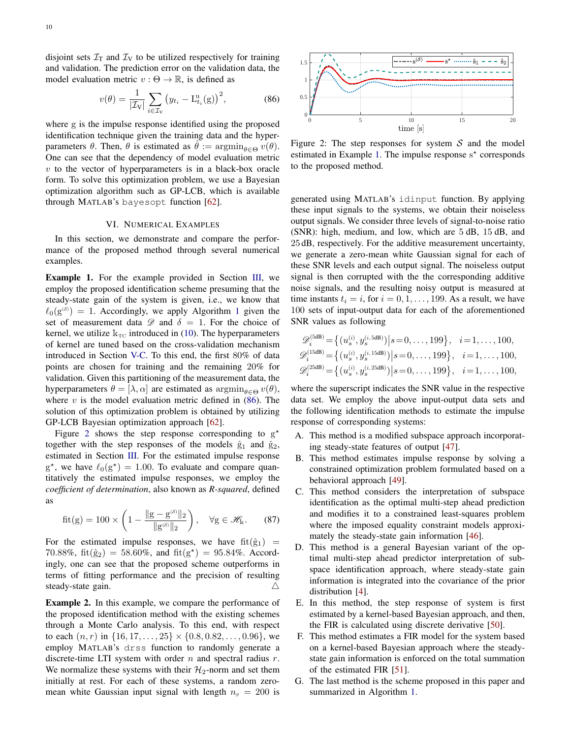disjoint sets  $\mathcal{I}_T$  and  $\mathcal{I}_V$  to be utilized respectively for training and validation. The prediction error on the validation data, the model evaluation metric  $v : \Theta \to \mathbb{R}$ , is defined as

<span id="page-9-0"></span>
$$
v(\theta) = \frac{1}{|\mathcal{I}_V|} \sum_{i \in \mathcal{I}_V} \left( y_{t_i} - \mathcal{L}_{t_i}^{\mathbf{u}}(\mathbf{g}) \right)^2, \tag{86}
$$

where g is the impulse response identified using the proposed identification technique given the training data and the hyperparameters  $\theta$ . Then,  $\theta$  is estimated as  $\theta := \operatorname{argmin}_{\theta \in \Theta} v(\theta)$ . One can see that the dependency of model evaluation metric  $v$  to the vector of hyperparameters is in a black-box oracle form. To solve this optimization problem, we use a Bayesian optimization algorithm such as GP-LCB, which is available through MATLAB's bayesopt function [\[62\]](#page-15-32).

## VI. NUMERICAL EXAMPLES

In this section, we demonstrate and compare the performance of the proposed method through several numerical examples.

<span id="page-9-2"></span>Example 1. For the example provided in Section [III,](#page-1-1) we employ the proposed identification scheme presuming that the steady-state gain of the system is given, i.e., we know that  $\ell_0(g^{\scriptscriptstyle (S)}) = 1$  $\ell_0(g^{\scriptscriptstyle (S)}) = 1$ . Accordingly, we apply Algorithm 1 given the set of measurement data  $\mathscr D$  and  $\delta = 1$ . For the choice of kernel, we utilize  $k_{TC}$  introduced in [\(10\)](#page-2-4). The hyperparameters of kernel are tuned based on the cross-validation mechanism introduced in Section [V-C.](#page-8-5) To this end, the first 80% of data points are chosen for training and the remaining 20% for validation. Given this partitioning of the measurement data, the hyperparameters  $\theta = [\lambda, \alpha]$  are estimated as  $\operatorname{argmin}_{\theta \in \Theta} v(\theta)$ , where  $v$  is the model evaluation metric defined in [\(86\)](#page-9-0). The solution of this optimization problem is obtained by utilizing GP-LCB Bayesian optimization approach [\[62\]](#page-15-32).

Figure [2](#page-9-1) shows the step response corresponding to  $g^*$ together with the step responses of the models  $\hat{g}_1$  and  $\hat{g}_2$ , estimated in Section [III.](#page-1-1) For the estimated impulse response  $g^*$ , we have  $\ell_0(g^*) = 1.00$ . To evaluate and compare quantitatively the estimated impulse responses, we employ the *coefficient of determination*, also known as *R-squared*, defined as

<span id="page-9-4"></span>
$$
\text{fit}(g) = 100 \times \left(1 - \frac{\|g - g^{(s)}\|_2}{\|g^{(s)}\|_2}\right), \quad \forall g \in \mathscr{H}_k. \tag{87}
$$

For the estimated impulse responses, we have  $fit(\hat{g}_1)$  = 70.88%, fit( $\hat{g}_2$ ) = 58.60%, and fit( $g^*$ ) = 95.84%. Accordingly, one can see that the proposed scheme outperforms in terms of fitting performance and the precision of resulting steady-state gain.  $\triangle$ 

<span id="page-9-3"></span>Example 2. In this example, we compare the performance of the proposed identification method with the existing schemes through a Monte Carlo analysis. To this end, with respect to each  $(n, r)$  in  $\{16, 17, \ldots, 25\} \times \{0.8, 0.82, \ldots, 0.96\}$ , we employ MATLAB's drss function to randomly generate a discrete-time LTI system with order  $n$  and spectral radius  $r$ . We normalize these systems with their  $\mathcal{H}_2$ -norm and set them initially at rest. For each of these systems, a random zeromean white Gaussian input signal with length  $n<sub>\mathscr{D}</sub> = 200$  is

<span id="page-9-1"></span>

Figure 2: The step responses for system  $S$  and the model estimated in Example [1.](#page-9-2) The impulse response s\* corresponds to the proposed method.

generated using MATLAB's idinput function. By applying these input signals to the systems, we obtain their noiseless output signals. We consider three levels of signal-to-noise ratio (SNR): high, medium, and low, which are 5 dB, 15 dB, and 25 dB, respectively. For the additive measurement uncertainty, we generate a zero-mean white Gaussian signal for each of these SNR levels and each output signal. The noiseless output signal is then corrupted with the the corresponding additive noise signals, and the resulting noisy output is measured at time instants  $t_i = i$ , for  $i = 0, 1, \ldots, 199$ . As a result, we have 100 sets of input-output data for each of the aforementioned SNR values as following

$$
\mathscr{D}_{i}^{(5dB)} = \left\{ (u_s^{(i)}, y_s^{(i,5dB)}) \middle| s = 0, \dots, 199 \right\}, \quad i = 1, \dots, 100,
$$
  

$$
\mathscr{D}_{i}^{(15dB)} = \left\{ (u_s^{(i)}, y_s^{(i,15dB)}) \middle| s = 0, \dots, 199 \right\}, \quad i = 1, \dots, 100,
$$
  

$$
\mathscr{D}_{i}^{(25dB)} = \left\{ (u_s^{(i)}, y_s^{(i,25dB)}) \middle| s = 0, \dots, 199 \right\}, \quad i = 1, \dots, 100,
$$

where the superscript indicates the SNR value in the respective data set. We employ the above input-output data sets and the following identification methods to estimate the impulse response of corresponding systems:

- A. This method is a modified subspace approach incorporating steady-state features of output [\[47\]](#page-15-33).
- B. This method estimates impulse response by solving a constrained optimization problem formulated based on a behavioral approach [\[49\]](#page-15-18).
- C. This method considers the interpretation of subspace identification as the optimal multi-step ahead prediction and modifies it to a constrained least-squares problem where the imposed equality constraint models approximately the steady-state gain information [\[46\]](#page-15-17).
- D. This method is a general Bayesian variant of the optimal multi-step ahead predictor interpretation of subspace identification approach, where steady-state gain information is integrated into the covariance of the prior distribution [\[4\]](#page-14-3).
- E. In this method, the step response of system is first estimated by a kernel-based Bayesian approach, and then, the FIR is calculated using discrete derivative [\[50\]](#page-15-19).
- F. This method estimates a FIR model for the system based on a kernel-based Bayesian approach where the steadystate gain information is enforced on the total summation of the estimated FIR [\[51\]](#page-15-20).
- G. The last method is the scheme proposed in this paper and summarized in Algorithm [1.](#page-8-4)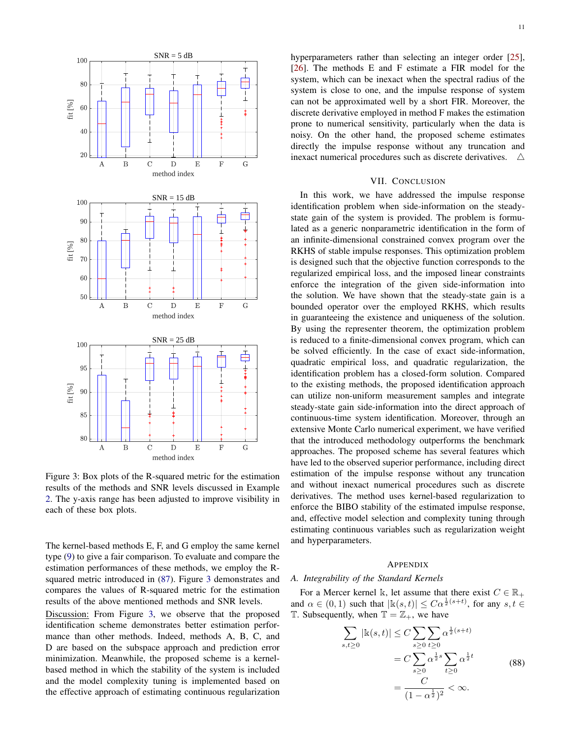<span id="page-10-1"></span>

Figure 3: Box plots of the R-squared metric for the estimation results of the methods and SNR levels discussed in Example [2.](#page-9-3) The y-axis range has been adjusted to improve visibility in each of these box plots.

The kernel-based methods E, F, and G employ the same kernel type [\(9\)](#page-2-3) to give a fair comparison. To evaluate and compare the estimation performances of these methods, we employ the Rsquared metric introduced in [\(87\)](#page-9-4). Figure [3](#page-10-1) demonstrates and compares the values of R-squared metric for the estimation results of the above mentioned methods and SNR levels.

Discussion: From Figure [3,](#page-10-1) we observe that the proposed identification scheme demonstrates better estimation performance than other methods. Indeed, methods A, B, C, and D are based on the subspace approach and prediction error minimization. Meanwhile, the proposed scheme is a kernelbased method in which the stability of the system is included and the model complexity tuning is implemented based on the effective approach of estimating continuous regularization hyperparameters rather than selecting an integer order [\[25\]](#page-15-9), [\[26\]](#page-15-21). The methods E and F estimate a FIR model for the system, which can be inexact when the spectral radius of the system is close to one, and the impulse response of system can not be approximated well by a short FIR. Moreover, the discrete derivative employed in method F makes the estimation prone to numerical sensitivity, particularly when the data is noisy. On the other hand, the proposed scheme estimates directly the impulse response without any truncation and inexact numerical procedures such as discrete derivatives. 4

## VII. CONCLUSION

In this work, we have addressed the impulse response identification problem when side-information on the steadystate gain of the system is provided. The problem is formulated as a generic nonparametric identification in the form of an infinite-dimensional constrained convex program over the RKHS of stable impulse responses. This optimization problem is designed such that the objective function corresponds to the regularized empirical loss, and the imposed linear constraints enforce the integration of the given side-information into the solution. We have shown that the steady-state gain is a bounded operator over the employed RKHS, which results in guaranteeing the existence and uniqueness of the solution. By using the representer theorem, the optimization problem is reduced to a finite-dimensional convex program, which can be solved efficiently. In the case of exact side-information, quadratic empirical loss, and quadratic regularization, the identification problem has a closed-form solution. Compared to the existing methods, the proposed identification approach can utilize non-uniform measurement samples and integrate steady-state gain side-information into the direct approach of continuous-time system identification. Moreover, through an extensive Monte Carlo numerical experiment, we have verified that the introduced methodology outperforms the benchmark approaches. The proposed scheme has several features which have led to the observed superior performance, including direct estimation of the impulse response without any truncation and without inexact numerical procedures such as discrete derivatives. The method uses kernel-based regularization to enforce the BIBO stability of the estimated impulse response, and, effective model selection and complexity tuning through estimating continuous variables such as regularization weight and hyperparameters.

## APPENDIX

## <span id="page-10-0"></span>*A. Integrability of the Standard Kernels*

 $\frac{1}{s}$ 

For a Mercer kernel k, let assume that there exist  $C \in \mathbb{R}_+$ and  $\alpha \in (0,1)$  such that  $|\mathbb{k}(s,t)| \leq C\alpha^{\frac{1}{2}(s+t)}$ , for any  $s, t \in$ T. Subsequently, when  $\mathbb{T} = \mathbb{Z}_+$ , we have

$$
\sum_{s,t\geq 0} |\mathbf{k}(s,t)| \leq C \sum_{s\geq 0} \sum_{t\geq 0} \alpha^{\frac{1}{2}(s+t)} \n= C \sum_{s\geq 0} \alpha^{\frac{1}{2}s} \sum_{t\geq 0} \alpha^{\frac{1}{2}t} \n= \frac{C}{(1-\alpha^{\frac{1}{2}})^2} < \infty.
$$
\n(88)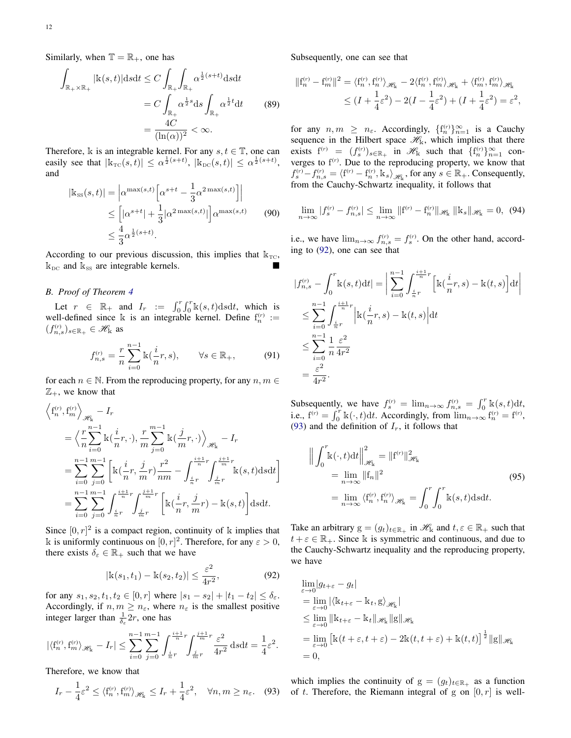Similarly, when  $\mathbb{T} = \mathbb{R}_+$ , one has

$$
\int_{\mathbb{R}_+ \times \mathbb{R}_+} |\mathbf{k}(s,t)| \, \mathrm{d}s \mathrm{d}t \le C \int_{\mathbb{R}_+} \int_{\mathbb{R}_+} \alpha^{\frac{1}{2}(s+t)} \, \mathrm{d}s \mathrm{d}t
$$
\n
$$
= C \int_{\mathbb{R}_+} \alpha^{\frac{1}{2}s} \, \mathrm{d}s \int_{\mathbb{R}_+} \alpha^{\frac{1}{2}t} \, \mathrm{d}t \qquad (89)
$$
\n
$$
= \frac{4C}{(\ln(\alpha))^2} < \infty.
$$

Therefore, k is an integrable kernel. For any  $s, t \in \mathbb{T}$ , one can easily see that  $|\mathbb{k}_{\text{TC}}(s, t)| \leq \alpha^{\frac{1}{2}(s+t)}$ ,  $|\mathbb{k}_{\text{DC}}(s, t)| \leq \alpha^{\frac{1}{2}(s+t)}$ , and

$$
|\mathbf{k}_{\rm{ss}}(s,t)| = \left| \alpha^{\max(s,t)} \left[ \alpha^{s+t} - \frac{1}{3} \alpha^{2\max(s,t)} \right] \right|
$$
  
\n
$$
\leq \left[ |\alpha^{s+t}| + \frac{1}{3} |\alpha^{2\max(s,t)}| \right] \alpha^{\max(s,t)} \qquad (90)
$$
  
\n
$$
\leq \frac{4}{3} \alpha^{\frac{1}{2}(s+t)}.
$$

According to our previous discussion, this implies that  $k_{TC}$ ,  $k_{\text{DC}}$  and  $k_{\text{SS}}$  are integrable kernels.

## <span id="page-11-0"></span>*B. Proof of Theorem [4](#page-4-0)*

Let  $r \in \mathbb{R}_+$  and  $I_r := \int_0^r \int_0^r \mathbb{k}(s,t) \, ds \, dt$ , which is well-defined since k is an integrable kernel. Define  $f_n^{(r)}$  :=  $(f_{n,s}^{(r)})_{s \in \mathbb{R}_+} \in \mathcal{H}_{k}$  as

$$
f_{n,s}^{(r)} = \frac{r}{n} \sum_{i=0}^{n-1} \mathbb{k}(\frac{i}{n}r, s), \qquad \forall s \in \mathbb{R}_+, \tag{91}
$$

for each  $n \in \mathbb{N}$ . From the reproducing property, for any  $n, m \in$  $\mathbb{Z}_+$ , we know that

$$
\left\langle f_n^{(r)}, f_m^{(r)} \right\rangle_{\mathscr{H}_{\mathbf{k}}} - I_r
$$
\n
$$
= \left\langle \frac{r}{n} \sum_{i=0}^{n-1} \mathbb{k} \left( \frac{i}{n} r, \cdot \right), \frac{r}{m} \sum_{j=0}^{m-1} \mathbb{k} \left( \frac{j}{m} r, \cdot \right) \right\rangle_{\mathscr{H}_{\mathbf{k}}} - I_r
$$
\n
$$
= \sum_{i=0}^{n-1} \sum_{j=0}^{m-1} \left[ \mathbb{k} \left( \frac{i}{n} r, \frac{j}{m} r \right) \frac{r^2}{nm} - \int_{\frac{i}{n}r}^{\frac{i+1}{n}r} \int_{\frac{j}{m}r}^{\frac{j+1}{m}r} \mathbb{k}(s, t) \, \mathrm{d}s \, \mathrm{d}t \right]
$$
\n
$$
= \sum_{i=0}^{n-1} \sum_{j=0}^{m-1} \int_{\frac{i}{n}r}^{\frac{i+1}{n}r} \int_{\frac{j}{m}r}^{\frac{j+1}{m}r} \left[ \mathbb{k} \left( \frac{i}{n} r, \frac{j}{m} r \right) - \mathbb{k}(s, t) \right] \, \mathrm{d}s \, \mathrm{d}t.
$$

Since  $[0, r]^2$  is a compact region, continuity of k implies that k is uniformly continuous on  $[0, r]^2$ . Therefore, for any  $\varepsilon > 0$ , there exists  $\delta_{\varepsilon} \in \mathbb{R}_+$  such that we have

<span id="page-11-1"></span>
$$
|\mathbf{k}(s_1, t_1) - \mathbf{k}(s_2, t_2)| \le \frac{\varepsilon^2}{4r^2},
$$
\n(92)

for any  $s_1, s_2, t_1, t_2 \in [0, r]$  where  $|s_1 - s_2| + |t_1 - t_2| \le \delta_{\varepsilon}$ . Accordingly, if  $n, m \geq n_{\varepsilon}$ , where  $n_{\varepsilon}$  is the smallest positive integer larger than  $\frac{1}{\delta_{\epsilon}} 2r$ , one has

$$
|\langle f_n^{(r)}, f_m^{(r)} \rangle_{\mathcal{H}_k} - I_r| \le \sum_{i=0}^{n-1} \sum_{j=0}^{m-1} \int_{\frac{i}{n}r}^{\frac{i+1}{n}r} \int_{\frac{j}{m}r}^{\frac{j+1}{m}r} \frac{\varepsilon^2}{4r^2} ds dt = \frac{1}{4}\varepsilon^2.
$$

Therefore, we know that

<span id="page-11-2"></span>
$$
I_r - \frac{1}{4}\varepsilon^2 \le \langle f_n^{(r)}, f_m^{(r)} \rangle_{\mathcal{H}_k} \le I_r + \frac{1}{4}\varepsilon^2, \quad \forall n, m \ge n_\varepsilon. \quad (93)
$$

Subsequently, one can see that

$$
||f_n^{(r)} - f_m^{(r)}||^2 = \langle f_n^{(r)}, f_n^{(r)} \rangle_{\mathscr{H}_k} - 2 \langle f_n^{(r)}, f_m^{(r)} \rangle_{\mathscr{H}_k} + \langle f_m^{(r)}, f_m^{(r)} \rangle_{\mathscr{H}_k}
$$
  

$$
\leq (I + \frac{1}{4}\varepsilon^2) - 2(I - \frac{1}{4}\varepsilon^2) + (I + \frac{1}{4}\varepsilon^2) = \varepsilon^2,
$$

for any  $n, m \geq n_{\varepsilon}$ . Accordingly,  $\{f_n^{(r)}\}_{n=1}^{\infty}$  is a Cauchy sequence in the Hilbert space  $\mathcal{H}_k$ , which implies that there exists  $f^{(r)} = (f_s^{(r)})_{s \in \mathbb{R}_+}$  in  $\mathcal{H}_k$  such that  $\{f_n^{(r)}\}_{n=1}^{\infty}$  converges to  $f<sup>(r)</sup>$ . Due to the reproducing property, we know that  $f_s^{(r)} - f_{n,s}^{(r)} = \langle f^{(r)} - f_n^{(r)}, \mathbb{K}_s \rangle_{\mathscr{H}_k}$ , for any  $s \in \mathbb{R}_+$ . Consequently, from the Cauchy-Schwartz inequality, it follows that

$$
\lim_{n \to \infty} |f_s^{(r)} - f_{n,s}^{(r)}| \le \lim_{n \to \infty} ||f^{(r)} - f_n^{(r)}||_{\mathscr{H}_{\mathbf{k}}} ||\mathbf{k}_s||_{\mathscr{H}_{\mathbf{k}}} = 0, \tag{94}
$$

i.e., we have  $\lim_{n\to\infty} f_{n,s}^{(r)} = f_s^{(r)}$ . On the other hand, according to [\(92\)](#page-11-1), one can see that

$$
|f_{n,s}^{(r)} - \int_0^r \mathbf{k}(s,t)dt| = \left| \sum_{i=0}^{n-1} \int_{\frac{i}{n}r}^{\frac{i+1}{n}r} \left[ \mathbf{k}(\frac{i}{n}r,s) - \mathbf{k}(t,s) \right] dt \right|
$$
  
\n
$$
\leq \sum_{i=0}^{n-1} \int_{\frac{i}{n}r}^{\frac{i+1}{n}r} \left| \mathbf{k}(\frac{i}{n}r,s) - \mathbf{k}(t,s) \right| dt
$$
  
\n
$$
\leq \sum_{i=0}^{n-1} \frac{1}{n} \frac{\varepsilon^2}{4r^2}
$$
  
\n
$$
= \frac{\varepsilon^2}{4r^2}.
$$

Subsequently, we have  $f_s^{(r)} = \lim_{n \to \infty} f_{n,s}^{(r)} = \int_0^r \mathbb{k}(s,t) dt$ , i.e.,  $f^{(r)} = \int_0^r k(\cdot, t) dt$ . Accordingly, from  $\lim_{n\to\infty} f_n^{(r)} = f^{(r)}$ , [\(93\)](#page-11-2) and the definition of  $I_r$ , it follows that

<span id="page-11-3"></span>
$$
\left\| \int_0^r \mathbf{k}(\cdot, t) dt \right\|_{\mathcal{H}_k}^2 = \| \mathbf{f}^{(r)} \|_{\mathcal{H}_k}^2
$$
  
\n
$$
= \lim_{n \to \infty} \| \mathbf{f}_n \|^2
$$
  
\n
$$
= \lim_{n \to \infty} \langle \mathbf{f}_n^{(r)}, \mathbf{f}_n^{(r)} \rangle_{\mathcal{H}_k} = \int_0^r \int_0^r \mathbf{k}(s, t) ds dt.
$$
 (95)

Take an arbitrary  $g = (g_t)_{t \in \mathbb{R}_+}$  in  $\mathcal{H}_k$  and  $t, \varepsilon \in \mathbb{R}_+$  such that  $t + \varepsilon \in \mathbb{R}_+$ . Since k is symmetric and continuous, and due to the Cauchy-Schwartz inequality and the reproducing property, we have

$$
\lim_{\varepsilon \to 0} |g_{t+\varepsilon} - g_t|
$$
\n
$$
= \lim_{\varepsilon \to 0} |\langle \mathbb{k}_{t+\varepsilon} - \mathbb{k}_t, g \rangle_{\mathscr{H}_{\mathbf{k}}}|
$$
\n
$$
\leq \lim_{\varepsilon \to 0} ||\mathbb{k}_{t+\varepsilon} - \mathbb{k}_t||_{\mathscr{H}_{\mathbf{k}}} ||g||_{\mathscr{H}_{\mathbf{k}}}
$$
\n
$$
= \lim_{\varepsilon \to 0} \left[ \mathbb{k}(t + \varepsilon, t + \varepsilon) - 2\mathbb{k}(t, t + \varepsilon) + \mathbb{k}(t, t) \right]^{\frac{1}{2}} ||g||_{\mathscr{H}_{\mathbf{k}}}
$$
\n
$$
= 0,
$$

which implies the continuity of  $g = (g_t)_{t \in \mathbb{R}_+}$  as a function of t. Therefore, the Riemann integral of g on  $[0, r]$  is well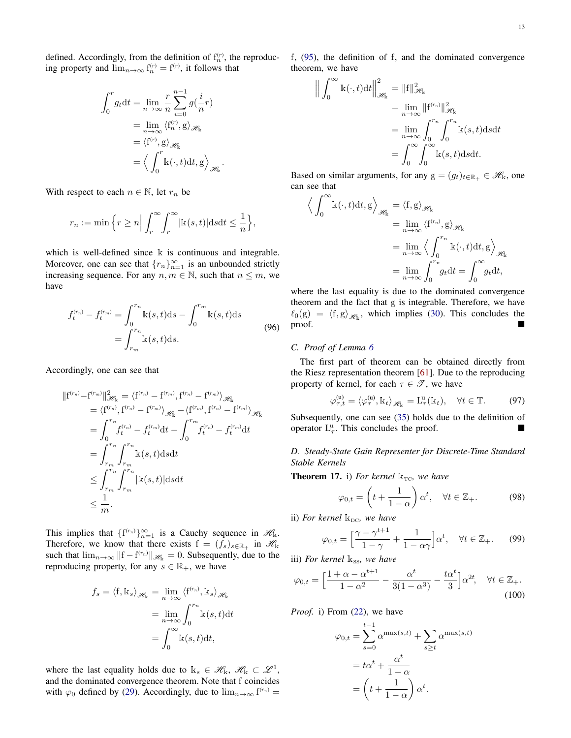defined. Accordingly, from the definition of  $f_n^{(r)}$ , the reproducing property and  $\lim_{n\to\infty} f_n^{(r)} = f^{(r)}$ , it follows that

$$
\int_0^r g_t dt = \lim_{n \to \infty} \frac{r}{n} \sum_{i=0}^{n-1} g(\frac{i}{n}r)
$$

$$
= \lim_{n \to \infty} \langle f_n^{(r)}, g \rangle_{\mathscr{H}_k}
$$

$$
= \langle f^{(r)}, g \rangle_{\mathscr{H}_k}
$$

$$
= \langle \int_0^r k(\cdot, t) dt, g \rangle_{\mathscr{H}_k}
$$

.

With respect to each  $n \in \mathbb{N}$ , let  $r_n$  be

$$
r_n := \min\Big\{r \ge n \Big| \int_r^{\infty} \int_r^{\infty} |\mathbf{k}(s,t)| \mathrm{d} s \mathrm{d} t \le \frac{1}{n} \Big\},\,
$$

which is well-defined since  $\mathbb k$  is continuous and integrable. Moreover, one can see that  ${r_n}_{n=1}^{\infty}$  is an unbounded strictly increasing sequence. For any  $n, m \in \mathbb{N}$ , such that  $n \leq m$ , we have

$$
f_t^{(r_n)} - f_t^{(r_m)} = \int_0^{r_n} k(s, t)ds - \int_0^{r_m} k(s, t)ds
$$
  
= 
$$
\int_{r_m}^{r_n} k(s, t)ds.
$$
 (96)

Accordingly, one can see that

$$
\begin{split} \|\mathbf{f}^{(r_n)} - \mathbf{f}^{(r_m)}\|_{\mathcal{H}_{\mathbf{k}}}^2 &= \langle \mathbf{f}^{(r_n)} - \mathbf{f}^{(r_m)}, \mathbf{f}^{(r_n)} - \mathbf{f}^{(r_m)} \rangle_{\mathcal{H}_{\mathbf{k}}} \\ &= \langle \mathbf{f}^{(r_n)}, \mathbf{f}^{(r_n)} - \mathbf{f}^{(r_m)} \rangle_{\mathcal{H}_{\mathbf{k}}} - \langle \mathbf{f}^{(r_m)}, \mathbf{f}^{(r_n)} - \mathbf{f}^{(r_m)} \rangle_{\mathcal{H}_{\mathbf{k}}} \\ &= \int_0^{r_n} f_t^{(r_n)} - f_t^{(r_m)} \mathrm{d}t - \int_0^{r_m} f_t^{(r_n)} - f_t^{(r_m)} \mathrm{d}t \\ &= \int_{r_m}^{r_n} \int_{r_m}^{r_n} \mathbf{k}(s, t) \mathrm{d}s \mathrm{d}t \\ &\leq \int_{r_m}^{r_n} \int_{r_m}^{r_n} |\mathbf{k}(s, t)| \mathrm{d}s \mathrm{d}t \\ &\leq \frac{1}{m} .\end{split}
$$

This implies that  $\{f^{(r_n)}\}_{n=1}^{\infty}$  is a Cauchy sequence in  $\mathcal{H}_k$ . Therefore, we know that there exists  $f = (f_s)_{s \in \mathbb{R}_+}$  in  $\mathcal{H}_k$ such that  $\lim_{n\to\infty} ||f - f^{(r_n)}||_{\mathscr{H}_k} = 0$ . Subsequently, due to the reproducing property, for any  $s \in \mathbb{R}_+$ , we have

$$
f_s = \langle f, \mathbf{k}_s \rangle_{\mathscr{H}_{\mathbf{k}}} = \lim_{n \to \infty} \langle f^{(r_n)}, \mathbf{k}_s \rangle_{\mathscr{H}_{\mathbf{k}}}
$$

$$
= \lim_{n \to \infty} \int_0^{r_n} \mathbf{k}(s, t) dt
$$

$$
= \int_0^{\infty} \mathbf{k}(s, t) dt,
$$

where the last equality holds due to  $\mathbf{k}_s \in \mathcal{H}_{\mathbf{k}}$ ,  $\mathcal{H}_{\mathbf{k}} \subset \mathcal{L}^1$ , and the dominated convergence theorem. Note that f coincides with  $\varphi_0$  defined by [\(29\)](#page-4-8). Accordingly, due to  $\lim_{n\to\infty} f^{(r_n)} =$  f, [\(95\)](#page-11-3), the definition of f, and the dominated convergence theorem, we have

$$
\left\| \int_0^\infty \mathbf{k}(\cdot, t) dt \right\|_{\mathcal{H}_k}^2 = \|f\|_{\mathcal{H}_k}^2
$$
  
\n
$$
= \lim_{n \to \infty} \|f^{(r_n)}\|_{\mathcal{H}_k}^2
$$
  
\n
$$
= \lim_{n \to \infty} \int_0^{r_n} \int_0^{r_n} \mathbf{k}(s, t) ds dt
$$
  
\n
$$
= \int_0^\infty \int_0^\infty \mathbf{k}(s, t) ds dt.
$$

Based on similar arguments, for any  $g = (g_t)_{t \in \mathbb{R}_+} \in \mathcal{H}_k$ , one can see that

$$
\left\langle \int_0^\infty \mathbf{k}(\cdot, t) dt, \mathbf{g} \right\rangle_{\mathscr{H}_{\mathbf{k}}} = \left\langle \mathbf{f}, \mathbf{g} \right\rangle_{\mathscr{H}_{\mathbf{k}}} \n= \lim_{n \to \infty} \left\langle \mathbf{f}^{(r_n)}, \mathbf{g} \right\rangle_{\mathscr{H}_{\mathbf{k}}} \n= \lim_{n \to \infty} \left\langle \int_0^{r_n} \mathbf{k}(\cdot, t) dt, \mathbf{g} \right\rangle_{\mathscr{H}_{\mathbf{k}}} \n= \lim_{n \to \infty} \int_0^{r_n} g_t dt = \int_0^\infty g_t dt,
$$

where the last equality is due to the dominated convergence theorem and the fact that g is integrable. Therefore, we have  $\ell_0(g) = \langle f, g \rangle_{\mathcal{H}_k}$ , which implies [\(30\)](#page-4-10). This concludes the  $\mathbf{proof.}$ 

## <span id="page-12-0"></span>*C. Proof of Lemma [6](#page-4-6)*

The first part of theorem can be obtained directly from the Riesz representation theorem [\[61\]](#page-15-31). Due to the reproducing property of kernel, for each  $\tau \in \mathcal{T}$ , we have

$$
\varphi_{\tau,t}^{(u)} = \langle \varphi_{\tau}^{(u)}, \mathbf{k}_t \rangle_{\mathscr{H}_{k}} = L_{\tau}^{u}(\mathbf{k}_t), \quad \forall t \in \mathbb{T}.
$$
 (97)

Subsequently, one can see [\(35\)](#page-4-7) holds due to the definition of operator  $L^u_\tau$ . This concludes the proof.

<span id="page-12-1"></span>*D. Steady-State Gain Representer for Discrete-Time Standard Stable Kernels*

<span id="page-12-2"></span>**Theorem 17.** i) For kernel  $k_{TC}$ , we have

$$
\varphi_{0,t} = \left(t + \frac{1}{1-\alpha}\right)\alpha^t, \quad \forall t \in \mathbb{Z}_+.
$$
 (98)

ii) For kernel  $k_{DC}$ , we have

$$
\varphi_{0,t} = \left[\frac{\gamma - \gamma^{t+1}}{1 - \gamma} + \frac{1}{1 - \alpha\gamma}\right] \alpha^t, \quad \forall t \in \mathbb{Z}_+.
$$
 (99)

iii) *For kernel*  $k_{SS}$ *, we have* 

$$
\varphi_{0,t} = \left[\frac{1+\alpha-\alpha^{t+1}}{1-\alpha^2} - \frac{\alpha^t}{3(1-\alpha^3)} - \frac{t\alpha^t}{3}\right]\alpha^{2t}, \quad \forall t \in \mathbb{Z}_+.
$$
\n(100)

*Proof.* i) From [\(22\)](#page-3-3), we have

$$
\varphi_{0,t} = \sum_{s=0}^{t-1} \alpha^{\max(s,t)} + \sum_{s \ge t} \alpha^{\max(s,t)}
$$

$$
= t\alpha^t + \frac{\alpha^t}{1-\alpha}
$$

$$
= \left(t + \frac{1}{1-\alpha}\right)\alpha^t.
$$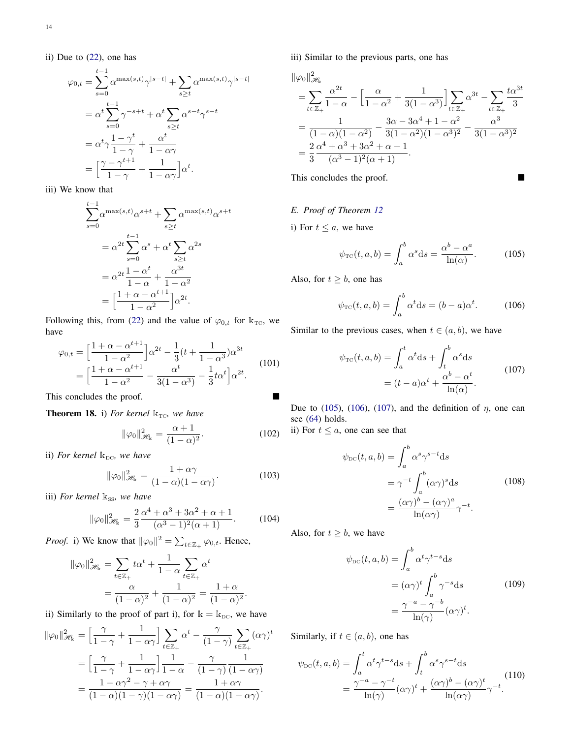ii) Due to [\(22\)](#page-3-3), one has

$$
\varphi_{0,t} = \sum_{s=0}^{t-1} \alpha^{\max(s,t)} \gamma^{|s-t|} + \sum_{s \ge t} \alpha^{\max(s,t)} \gamma^{|s-t|}
$$

$$
= \alpha^t \sum_{s=0}^{t-1} \gamma^{-s+t} + \alpha^t \sum_{s \ge t} \alpha^{s-t} \gamma^{s-t}
$$

$$
= \alpha^t \gamma \frac{1-\gamma^t}{1-\gamma} + \frac{\alpha^t}{1-\alpha \gamma}
$$

$$
= \left[ \frac{\gamma - \gamma^{t+1}}{1-\gamma} + \frac{1}{1-\alpha \gamma} \right] \alpha^t.
$$

iii) We know that

$$
\sum_{s=0}^{t-1} \alpha^{\max(s,t)} \alpha^{s+t} + \sum_{s \ge t} \alpha^{\max(s,t)} \alpha^{s+t}
$$

$$
= \alpha^{2t} \sum_{s=0}^{t-1} \alpha^s + \alpha^t \sum_{s \ge t} \alpha^{2s}
$$

$$
= \alpha^{2t} \frac{1 - \alpha^t}{1 - \alpha} + \frac{\alpha^{3t}}{1 - \alpha^2}
$$

$$
= \left[ \frac{1 + \alpha - \alpha^{t+1}}{1 - \alpha^2} \right] \alpha^{2t}.
$$

Following this, from [\(22\)](#page-3-3) and the value of  $\varphi_{0,t}$  for  $k_{TC}$ , we have

$$
\varphi_{0,t} = \left[\frac{1+\alpha-\alpha^{t+1}}{1-\alpha^2}\right] \alpha^{2t} - \frac{1}{3} (t + \frac{1}{1-\alpha^3}) \alpha^{3t}
$$

$$
= \left[\frac{1+\alpha-\alpha^{t+1}}{1-\alpha^2} - \frac{\alpha^t}{3(1-\alpha^3)} - \frac{1}{3} t \alpha^t\right] \alpha^{2t}.
$$
(101)

This concludes the proof.

**Theorem 18.** i) *For kernel*  $k_{TC}$ *, we have* 

$$
\|\varphi_0\|_{\mathcal{H}_k}^2 = \frac{\alpha + 1}{(1 - \alpha)^2}.
$$
 (102)

ii) For kernel  $k_{DC}$ , we have

$$
\|\varphi_0\|_{\mathscr{H}_k}^2 = \frac{1+\alpha\gamma}{(1-\alpha)(1-\alpha\gamma)}.\tag{103}
$$

iii) *For kernel*  $k_{SS}$ *, we have* 

$$
\|\varphi_0\|_{\mathcal{H}_{\mathbf{k}}}^2 = \frac{2}{3} \frac{\alpha^4 + \alpha^3 + 3\alpha^2 + \alpha + 1}{(\alpha^3 - 1)^2(\alpha + 1)}.
$$
 (104)

*Proof.* i) We know that  $\|\varphi_0\|^2 = \sum_{t \in \mathbb{Z}_+} \varphi_{0,t}$ . Hence,

$$
\|\varphi_0\|_{\mathcal{H}_{\mathbf{k}}}^2 = \sum_{t \in \mathbb{Z}_+} t\alpha^t + \frac{1}{1-\alpha} \sum_{t \in \mathbb{Z}_+} \alpha^t
$$

$$
= \frac{\alpha}{(1-\alpha)^2} + \frac{1}{(1-\alpha)^2} = \frac{1+\alpha}{(1-\alpha)^2}.
$$

ii) Similarly to the proof of part i), for  $k = k_{DC}$ , we have

$$
\|\varphi_0\|_{\mathcal{H}_k}^2 = \left[\frac{\gamma}{1-\gamma} + \frac{1}{1-\alpha\gamma}\right] \sum_{t \in \mathbb{Z}_+} \alpha^t - \frac{\gamma}{(1-\gamma)} \sum_{t \in \mathbb{Z}_+} (\alpha\gamma)^t
$$

$$
= \left[\frac{\gamma}{1-\gamma} + \frac{1}{1-\alpha\gamma}\right] \frac{1}{1-\alpha} - \frac{\gamma}{(1-\gamma)} \frac{1}{(1-\alpha\gamma)}
$$

$$
= \frac{1-\alpha\gamma^2 - \gamma + \alpha\gamma}{(1-\alpha)(1-\gamma)(1-\alpha\gamma)} = \frac{1+\alpha\gamma}{(1-\alpha)(1-\alpha\gamma)}.
$$

iii) Similar to the previous parts, one has

$$
\|\varphi_0\|_{\mathscr{H}_k}^2
$$
\n
$$
= \sum_{t \in \mathbb{Z}_+} \frac{\alpha^{2t}}{1 - \alpha} - \left[ \frac{\alpha}{1 - \alpha^2} + \frac{1}{3(1 - \alpha^3)} \right] \sum_{t \in \mathbb{Z}_+} \alpha^{3t} - \sum_{t \in \mathbb{Z}_+} \frac{t\alpha^{3t}}{3}
$$
\n
$$
= \frac{1}{(1 - \alpha)(1 - \alpha^2)} - \frac{3\alpha - 3\alpha^4 + 1 - \alpha^2}{3(1 - \alpha^2)(1 - \alpha^3)^2} - \frac{\alpha^3}{3(1 - \alpha^3)^2}
$$
\n
$$
= \frac{2}{3} \frac{\alpha^4 + \alpha^3 + 3\alpha^2 + \alpha + 1}{(\alpha^3 - 1)^2(\alpha + 1)}.
$$

This concludes the proof.

## <span id="page-13-0"></span>*E. Proof of Theorem [12](#page-7-1)*

i) For  $t \leq a$ , we have

<span id="page-13-1"></span>
$$
\psi_{\rm TC}(t, a, b) = \int_a^b \alpha^s \, ds = \frac{\alpha^b - \alpha^a}{\ln(\alpha)}.
$$
\n(105)

Also, for  $t \geq b$ , one has

<span id="page-13-2"></span>
$$
\psi_{\rm TC}(t, a, b) = \int_a^b \alpha^t \mathrm{d}s = (b - a)\alpha^t. \tag{106}
$$

<span id="page-13-3"></span>Similar to the previous cases, when  $t \in (a, b)$ , we have

$$
\psi_{\rm TC}(t, a, b) = \int_a^t \alpha^t \, ds + \int_t^b \alpha^s \, ds
$$
\n
$$
= (t - a)\alpha^t + \frac{\alpha^b - \alpha^t}{\ln(\alpha)}.
$$
\n(107)

Due to [\(105\)](#page-13-1), [\(106\)](#page-13-2), [\(107\)](#page-13-3), and the definition of  $\eta$ , one can see [\(64\)](#page-7-10) holds.

<span id="page-13-4"></span>ii) For  $t \leq a$ , one can see that

$$
\psi_{\text{DC}}(t, a, b) = \int_{a}^{b} \alpha^{s} \gamma^{s-t} \, \mathrm{d}s
$$
\n
$$
= \gamma^{-t} \int_{a}^{b} (\alpha \gamma)^{s} \, \mathrm{d}s \tag{108}
$$
\n
$$
= \frac{(\alpha \gamma)^{b} - (\alpha \gamma)^{a}}{\ln(\alpha \gamma)} \gamma^{-t}.
$$

<span id="page-13-5"></span>Also, for  $t \geq b$ , we have

$$
\psi_{\text{DC}}(t, a, b) = \int_{a}^{b} \alpha^{t} \gamma^{t-s} \, \mathrm{d}s
$$
\n
$$
= (\alpha \gamma)^{t} \int_{a}^{b} \gamma^{-s} \, \mathrm{d}s \tag{109}
$$
\n
$$
= \frac{\gamma^{-a} - \gamma^{-b}}{\ln(\gamma)} (\alpha \gamma)^{t}.
$$

Similarly, if  $t \in (a, b)$ , one has

<span id="page-13-6"></span>
$$
\psi_{\text{DC}}(t, a, b) = \int_{a}^{t} \alpha^{t} \gamma^{t-s} ds + \int_{t}^{b} \alpha^{s} \gamma^{s-t} ds
$$

$$
= \frac{\gamma^{-a} - \gamma^{-t}}{\ln(\gamma)} (\alpha \gamma)^{t} + \frac{(\alpha \gamma)^{b} - (\alpha \gamma)^{t}}{\ln(\alpha \gamma)} \gamma^{-t}.
$$
(110)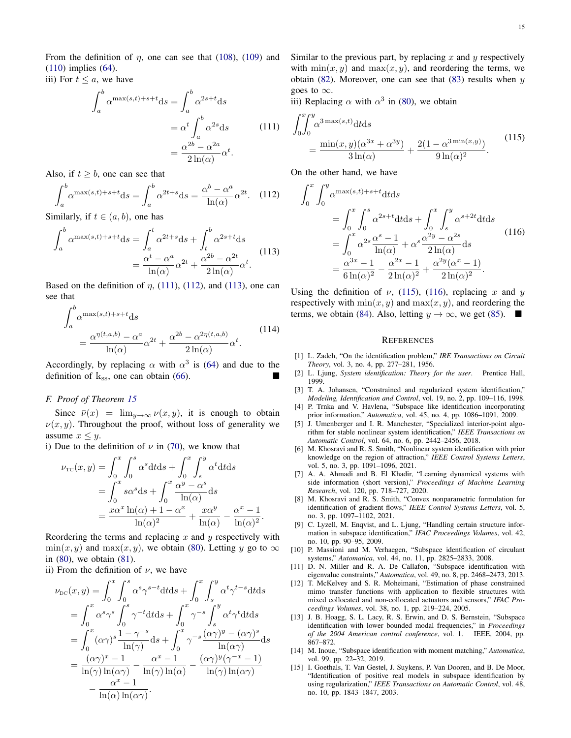From the definition of  $\eta$ , one can see that [\(108\)](#page-13-4), [\(109\)](#page-13-5) and [\(110\)](#page-13-6) implies [\(64\)](#page-7-10).

<span id="page-14-14"></span>iii) For  $t \leq a$ , we have

$$
\int_{a}^{b} \alpha^{\max(s,t)+s+t} \mathrm{d}s = \int_{a}^{b} \alpha^{2s+t} \mathrm{d}s
$$

$$
= \alpha^{t} \int_{a}^{b} \alpha^{2s} \mathrm{d}s \qquad (111)
$$

$$
= \frac{\alpha^{2b} - \alpha^{2a}}{2\ln(\alpha)} \alpha^{t}.
$$

Also, if  $t \geq b$ , one can see that

<span id="page-14-15"></span>
$$
\int_{a}^{b} \alpha^{\max(s,t)+s+t} \mathrm{d}s = \int_{a}^{b} \alpha^{2t+s} \mathrm{d}s = \frac{\alpha^{b} - \alpha^{a}}{\ln(\alpha)} \alpha^{2t}.
$$
 (112)

Similarly, if  $t \in (a, b)$ , one has

<span id="page-14-16"></span>
$$
\int_{a}^{b} \alpha^{\max(s,t)+s+t} \mathrm{d}s = \int_{a}^{t} \alpha^{2t+s} \mathrm{d}s + \int_{t}^{b} \alpha^{2s+t} \mathrm{d}s
$$
\n
$$
= \frac{\alpha^{t} - \alpha^{a}}{\ln(\alpha)} \alpha^{2t} + \frac{\alpha^{2b} - \alpha^{2t}}{2\ln(\alpha)} \alpha^{t}.
$$
\n(113)

Based on the definition of  $\eta$ , [\(111\)](#page-14-14), [\(112\)](#page-14-15), and [\(113\)](#page-14-16), one can see that

$$
\int_{a}^{b} \alpha^{\max(s,t)+s+t} \mathrm{d}s
$$
\n
$$
= \frac{\alpha^{\eta(t,a,b)} - \alpha^a}{\ln(\alpha)} \alpha^{2t} + \frac{\alpha^{2b} - \alpha^{2\eta(t,a,b)}}{2\ln(\alpha)} \alpha^t. \tag{114}
$$

Accordingly, by replacing  $\alpha$  with  $\alpha^3$  is [\(64\)](#page-7-10) and due to the definition of  $k_{ss}$ , one can obtain [\(66\)](#page-7-11).

## <span id="page-14-13"></span>*F. Proof of Theorem [15](#page-8-2)*

Since  $\bar{\nu}(x) = \lim_{y \to \infty} \nu(x, y)$ , it is enough to obtain  $\nu(x, y)$ . Throughout the proof, without loss of generality we assume  $x \leq y$ .

i) Due to the definition of  $\nu$  in [\(70\)](#page-7-2), we know that

$$
\nu_{\rm TC}(x, y) = \int_0^x \int_0^s \alpha^s dt ds + \int_0^x \int_s^y \alpha^t dt ds
$$
  
= 
$$
\int_0^x s\alpha^s ds + \int_0^x \frac{\alpha^y - \alpha^s}{\ln(\alpha)} ds
$$
  
= 
$$
\frac{x\alpha^x \ln(\alpha) + 1 - \alpha^x}{\ln(\alpha)^2} + \frac{x\alpha^y}{\ln(\alpha)} - \frac{\alpha^x - 1}{\ln(\alpha)^2}
$$

Reordering the terms and replacing  $x$  and  $y$  respectively with  $min(x, y)$  and  $max(x, y)$ , we obtain [\(80\)](#page-8-6). Letting y go to  $\infty$ in [\(80\)](#page-8-6), we obtain [\(81\)](#page-8-7).

.

ii) From the definition of  $\nu$ , we have

$$
\nu_{\rm DC}(x, y) = \int_0^x \int_0^s \alpha^s \gamma^{s-t} dt ds + \int_0^x \int_s^y \alpha^t \gamma^{t-s} dt ds
$$
  
\n
$$
= \int_0^x \alpha^s \gamma^s \int_0^s \gamma^{-t} dt ds + \int_0^x \gamma^{-s} \int_s^y \alpha^t \gamma^t dt ds
$$
  
\n
$$
= \int_0^x (\alpha \gamma)^s \frac{1 - \gamma^{-s}}{\ln(\gamma)} ds + \int_0^x \gamma^{-s} \frac{(\alpha \gamma)^y - (\alpha \gamma)^s}{\ln(\alpha \gamma)} ds
$$
  
\n
$$
= \frac{(\alpha \gamma)^x - 1}{\ln(\gamma) \ln(\alpha \gamma)} - \frac{\alpha^x - 1}{\ln(\gamma) \ln(\alpha)} - \frac{(\alpha \gamma)^y (\gamma^{-x} - 1)}{\ln(\gamma) \ln(\alpha \gamma)}
$$
  
\n
$$
- \frac{\alpha^x - 1}{\ln(\alpha) \ln(\alpha \gamma)}.
$$

Similar to the previous part, by replacing  $x$  and  $y$  respectively with  $\min(x, y)$  and  $\max(x, y)$ , and reordering the terms, we obtain [\(82\)](#page-8-8). Moreover, one can see that  $(83)$  results when y goes to  $\infty$ .

iii) Replacing  $\alpha$  with  $\alpha^3$  in [\(80\)](#page-8-6), we obtain

<span id="page-14-17"></span>
$$
\int_0^x \int_0^y \alpha^{3\max(s,t)} dt ds
$$
  
= 
$$
\frac{\min(x,y)(\alpha^{3x} + \alpha^{3y})}{3\ln(\alpha)} + \frac{2(1 - \alpha^{3\min(x,y)})}{9\ln(\alpha)^2}.
$$
 (115)

On the other hand, we have

<span id="page-14-18"></span>
$$
\int_{0}^{x} \int_{0}^{y} \alpha^{\max(s,t)+s+t} dt ds
$$
\n
$$
= \int_{0}^{x} \int_{0}^{s} \alpha^{2s+t} dt ds + \int_{0}^{x} \int_{s}^{y} \alpha^{s+2t} dt ds
$$
\n
$$
= \int_{0}^{x} \alpha^{2s} \frac{\alpha^{s}-1}{\ln(\alpha)} + \alpha^{s} \frac{\alpha^{2y}-\alpha^{2s}}{2\ln(\alpha)} ds
$$
\n
$$
= \frac{\alpha^{3x}-1}{6\ln(\alpha)^{2}} - \frac{\alpha^{2x}-1}{2\ln(\alpha)^{2}} + \frac{\alpha^{2y}(\alpha^{x}-1)}{2\ln(\alpha)^{2}}.
$$
\n(116)

Using the definition of  $\nu$ , [\(115\)](#page-14-17), [\(116\)](#page-14-18), replacing x and y respectively with  $min(x, y)$  and  $max(x, y)$ , and reordering the terms, we obtain [\(84\)](#page-8-10). Also, letting  $y \to \infty$ , we get [\(85\)](#page-8-11).

#### **REFERENCES**

- <span id="page-14-0"></span>[1] L. Zadeh, "On the identification problem," *IRE Transactions on Circuit Theory*, vol. 3, no. 4, pp. 277–281, 1956.
- <span id="page-14-1"></span>[2] L. Ljung, *System identification: Theory for the user*. Prentice Hall, 1999.
- <span id="page-14-2"></span>[3] T. A. Johansen, "Constrained and regularized system identification," *Modeling, Identification and Control*, vol. 19, no. 2, pp. 109–116, 1998.
- <span id="page-14-3"></span>[4] P. Trnka and V. Havlena, "Subspace like identification incorporating prior information," *Automatica*, vol. 45, no. 4, pp. 1086–1091, 2009.
- <span id="page-14-4"></span>[5] J. Umenberger and I. R. Manchester, "Specialized interior-point algorithm for stable nonlinear system identification," *IEEE Transactions on Automatic Control*, vol. 64, no. 6, pp. 2442–2456, 2018.
- [6] M. Khosravi and R. S. Smith, "Nonlinear system identification with prior knowledge on the region of attraction," *IEEE Control Systems Letters*, vol. 5, no. 3, pp. 1091–1096, 2021.
- [7] A. A. Ahmadi and B. El Khadir, "Learning dynamical systems with side information (short version)," *Proceedings of Machine Learning Research*, vol. 120, pp. 718–727, 2020.
- <span id="page-14-5"></span>[8] M. Khosravi and R. S. Smith, "Convex nonparametric formulation for identification of gradient flows," *IEEE Control Systems Letters*, vol. 5, no. 3, pp. 1097–1102, 2021.
- <span id="page-14-6"></span>[9] C. Lyzell, M. Enqvist, and L. Ljung, "Handling certain structure information in subspace identification," *IFAC Proceedings Volumes*, vol. 42, no. 10, pp. 90–95, 2009.
- <span id="page-14-7"></span>[10] P. Massioni and M. Verhaegen, "Subspace identification of circulant systems," *Automatica*, vol. 44, no. 11, pp. 2825–2833, 2008.
- <span id="page-14-8"></span>[11] D. N. Miller and R. A. De Callafon, "Subspace identification with eigenvalue constraints," *Automatica*, vol. 49, no. 8, pp. 2468–2473, 2013.
- <span id="page-14-9"></span>[12] T. McKelvey and S. R. Moheimani, "Estimation of phase constrained mimo transfer functions with application to flexible structures with mixed collocated and non-collocated actuators and sensors," *IFAC Proceedings Volumes*, vol. 38, no. 1, pp. 219–224, 2005.
- <span id="page-14-10"></span>[13] J. B. Hoagg, S. L. Lacy, R. S. Erwin, and D. S. Bernstein, "Subspace identification with lower bounded modal frequencies," in *Proceedings of the 2004 American control conference*, vol. 1. IEEE, 2004, pp. 867–872.
- <span id="page-14-11"></span>[14] M. Inoue, "Subspace identification with moment matching," *Automatica*, vol. 99, pp. 22–32, 2019.
- <span id="page-14-12"></span>[15] I. Goethals, T. Van Gestel, J. Suykens, P. Van Dooren, and B. De Moor, "Identification of positive real models in subspace identification by using regularization," *IEEE Transactions on Automatic Control*, vol. 48, no. 10, pp. 1843–1847, 2003.